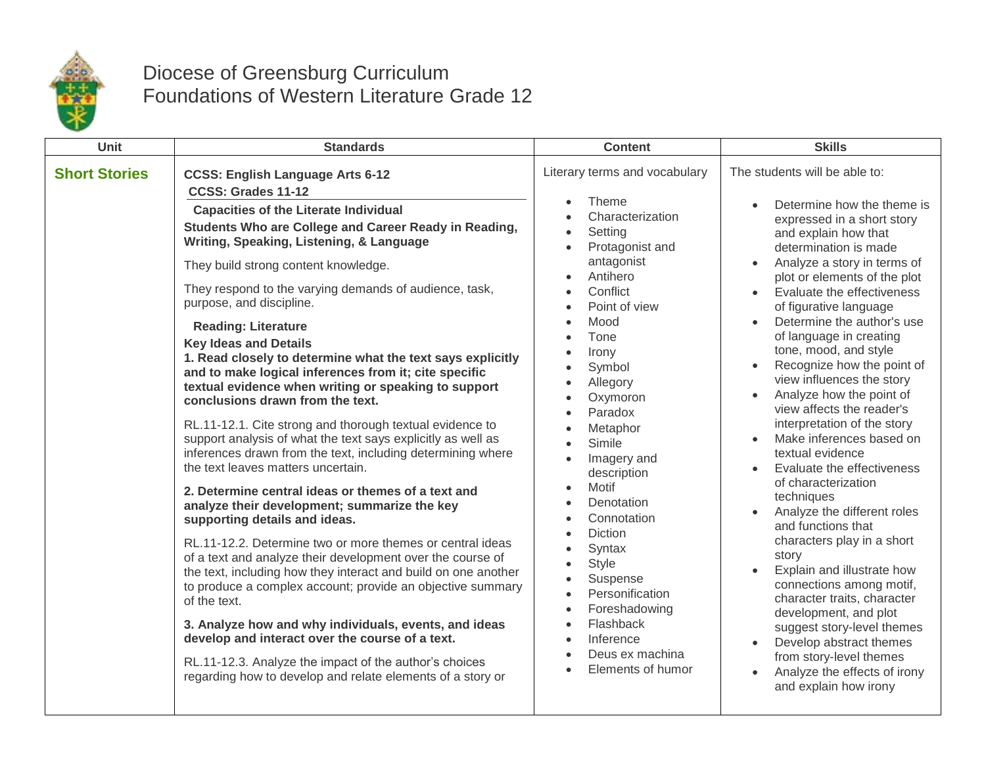

## Diocese of Greensburg Curriculum Foundations of Western Literature Grade 12

| Unit                 | <b>Standards</b>                                                                                                                                                                                                                                                                                                                                                                                                                                                                                                                                                                                                                                                                                                                                                                                                                                                                                                                                                                                                                                                                                                                                                                                                                                                                                                                                                                                                                                                                                                         | <b>Content</b>                                                                                                                                                                                                                                                                                                                                                                                                                                                                                                                                                                                                                                                                                                                                    | <b>Skills</b>                                                                                                                                                                                                                                                                                                                                                                                                                                                                                                                                                                                                                                                                                                                                                                                                                                                                                                                                                                                     |
|----------------------|--------------------------------------------------------------------------------------------------------------------------------------------------------------------------------------------------------------------------------------------------------------------------------------------------------------------------------------------------------------------------------------------------------------------------------------------------------------------------------------------------------------------------------------------------------------------------------------------------------------------------------------------------------------------------------------------------------------------------------------------------------------------------------------------------------------------------------------------------------------------------------------------------------------------------------------------------------------------------------------------------------------------------------------------------------------------------------------------------------------------------------------------------------------------------------------------------------------------------------------------------------------------------------------------------------------------------------------------------------------------------------------------------------------------------------------------------------------------------------------------------------------------------|---------------------------------------------------------------------------------------------------------------------------------------------------------------------------------------------------------------------------------------------------------------------------------------------------------------------------------------------------------------------------------------------------------------------------------------------------------------------------------------------------------------------------------------------------------------------------------------------------------------------------------------------------------------------------------------------------------------------------------------------------|---------------------------------------------------------------------------------------------------------------------------------------------------------------------------------------------------------------------------------------------------------------------------------------------------------------------------------------------------------------------------------------------------------------------------------------------------------------------------------------------------------------------------------------------------------------------------------------------------------------------------------------------------------------------------------------------------------------------------------------------------------------------------------------------------------------------------------------------------------------------------------------------------------------------------------------------------------------------------------------------------|
| <b>Short Stories</b> | <b>CCSS: English Language Arts 6-12</b><br>CCSS: Grades 11-12<br><b>Capacities of the Literate Individual</b><br>Students Who are College and Career Ready in Reading,<br>Writing, Speaking, Listening, & Language<br>They build strong content knowledge.<br>They respond to the varying demands of audience, task,<br>purpose, and discipline.<br><b>Reading: Literature</b><br><b>Key Ideas and Details</b><br>1. Read closely to determine what the text says explicitly<br>and to make logical inferences from it; cite specific<br>textual evidence when writing or speaking to support<br>conclusions drawn from the text.<br>RL.11-12.1. Cite strong and thorough textual evidence to<br>support analysis of what the text says explicitly as well as<br>inferences drawn from the text, including determining where<br>the text leaves matters uncertain.<br>2. Determine central ideas or themes of a text and<br>analyze their development; summarize the key<br>supporting details and ideas.<br>RL.11-12.2. Determine two or more themes or central ideas<br>of a text and analyze their development over the course of<br>the text, including how they interact and build on one another<br>to produce a complex account; provide an objective summary<br>of the text.<br>3. Analyze how and why individuals, events, and ideas<br>develop and interact over the course of a text.<br>RL.11-12.3. Analyze the impact of the author's choices<br>regarding how to develop and relate elements of a story or | Literary terms and vocabulary<br>Theme<br>$\bullet$<br>Characterization<br>Setting<br>$\bullet$<br>Protagonist and<br>$\bullet$<br>antagonist<br>Antihero<br>$\bullet$<br>Conflict<br>Point of view<br>$\bullet$<br>Mood<br>$\bullet$<br>Tone<br>Irony<br>$\bullet$<br>Symbol<br>Allegory<br>$\bullet$<br>Oxymoron<br>Paradox<br>$\bullet$<br>Metaphor<br>Simile<br>$\bullet$<br>Imagery and<br>$\bullet$<br>description<br>Motif<br>$\bullet$<br>Denotation<br>$\bullet$<br>Connotation<br>$\bullet$<br><b>Diction</b><br>$\bullet$<br>Syntax<br>$\bullet$<br><b>Style</b><br>$\bullet$<br>Suspense<br>Personification<br>$\bullet$<br>Foreshadowing<br>$\bullet$<br>Flashback<br>$\bullet$<br>Inference<br>Deus ex machina<br>Elements of humor | The students will be able to:<br>Determine how the theme is<br>expressed in a short story<br>and explain how that<br>determination is made<br>Analyze a story in terms of<br>plot or elements of the plot<br>Evaluate the effectiveness<br>of figurative language<br>Determine the author's use<br>of language in creating<br>tone, mood, and style<br>Recognize how the point of<br>view influences the story<br>Analyze how the point of<br>$\bullet$<br>view affects the reader's<br>interpretation of the story<br>Make inferences based on<br>textual evidence<br>Evaluate the effectiveness<br>of characterization<br>techniques<br>Analyze the different roles<br>and functions that<br>characters play in a short<br>story<br>Explain and illustrate how<br>connections among motif,<br>character traits, character<br>development, and plot<br>suggest story-level themes<br>Develop abstract themes<br>from story-level themes<br>Analyze the effects of irony<br>and explain how irony |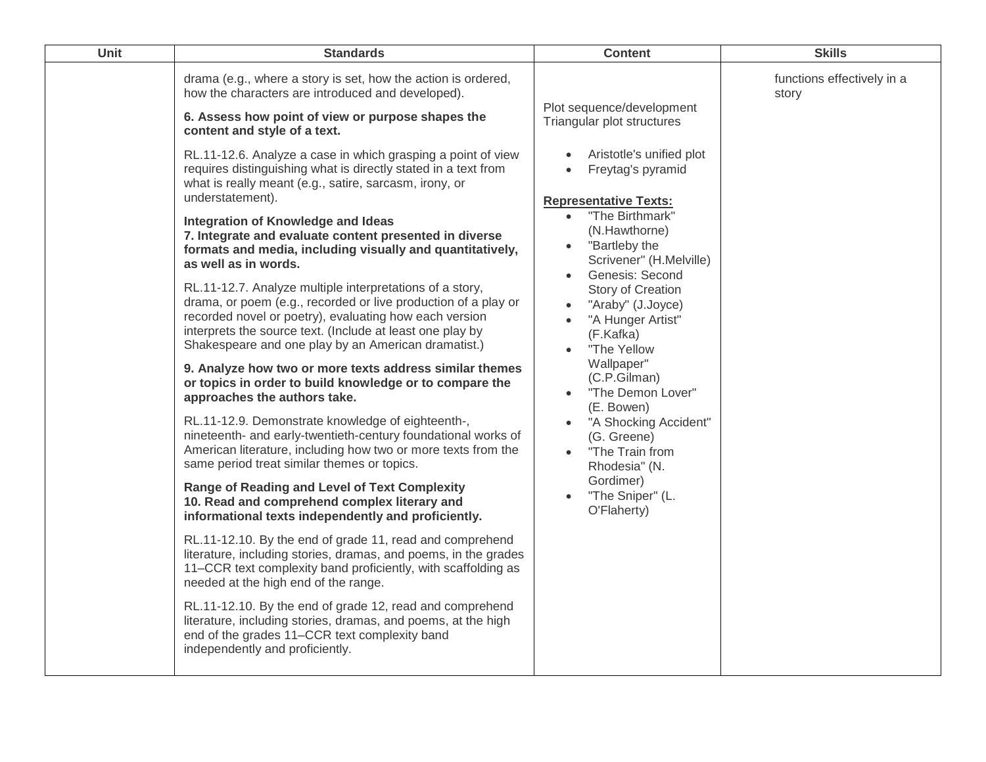| Unit | <b>Standards</b>                                                                                                                                                                                                                                                                                                                                                                                                                                                                                                                                                                                                                                                                                                                                                                                                                                                                                                                                                                                                                                                                                                                                                                                                                                                                                                                                                                                                                                                                                                                                                                                                                                                                                                                                                                                                                                                                                                                             | <b>Content</b>                                                                                                                                                                                                                                                                                                                                                                                                                                                                                                                                   | <b>Skills</b>                       |
|------|----------------------------------------------------------------------------------------------------------------------------------------------------------------------------------------------------------------------------------------------------------------------------------------------------------------------------------------------------------------------------------------------------------------------------------------------------------------------------------------------------------------------------------------------------------------------------------------------------------------------------------------------------------------------------------------------------------------------------------------------------------------------------------------------------------------------------------------------------------------------------------------------------------------------------------------------------------------------------------------------------------------------------------------------------------------------------------------------------------------------------------------------------------------------------------------------------------------------------------------------------------------------------------------------------------------------------------------------------------------------------------------------------------------------------------------------------------------------------------------------------------------------------------------------------------------------------------------------------------------------------------------------------------------------------------------------------------------------------------------------------------------------------------------------------------------------------------------------------------------------------------------------------------------------------------------------|--------------------------------------------------------------------------------------------------------------------------------------------------------------------------------------------------------------------------------------------------------------------------------------------------------------------------------------------------------------------------------------------------------------------------------------------------------------------------------------------------------------------------------------------------|-------------------------------------|
|      | drama (e.g., where a story is set, how the action is ordered,<br>how the characters are introduced and developed).<br>6. Assess how point of view or purpose shapes the<br>content and style of a text.<br>RL.11-12.6. Analyze a case in which grasping a point of view<br>requires distinguishing what is directly stated in a text from<br>what is really meant (e.g., satire, sarcasm, irony, or<br>understatement).<br>Integration of Knowledge and Ideas<br>7. Integrate and evaluate content presented in diverse<br>formats and media, including visually and quantitatively,<br>as well as in words.<br>RL.11-12.7. Analyze multiple interpretations of a story,<br>drama, or poem (e.g., recorded or live production of a play or<br>recorded novel or poetry), evaluating how each version<br>interprets the source text. (Include at least one play by<br>Shakespeare and one play by an American dramatist.)<br>9. Analyze how two or more texts address similar themes<br>or topics in order to build knowledge or to compare the<br>approaches the authors take.<br>RL.11-12.9. Demonstrate knowledge of eighteenth-,<br>nineteenth- and early-twentieth-century foundational works of<br>American literature, including how two or more texts from the<br>same period treat similar themes or topics.<br><b>Range of Reading and Level of Text Complexity</b><br>10. Read and comprehend complex literary and<br>informational texts independently and proficiently.<br>RL.11-12.10. By the end of grade 11, read and comprehend<br>literature, including stories, dramas, and poems, in the grades<br>11–CCR text complexity band proficiently, with scaffolding as<br>needed at the high end of the range.<br>RL.11-12.10. By the end of grade 12, read and comprehend<br>literature, including stories, dramas, and poems, at the high<br>end of the grades 11–CCR text complexity band<br>independently and proficiently. | Plot sequence/development<br>Triangular plot structures<br>Aristotle's unified plot<br>Freytag's pyramid<br><b>Representative Texts:</b><br>"The Birthmark"<br>$\bullet$<br>(N.Hawthorne)<br>"Bartleby the<br>Scrivener" (H.Melville)<br>Genesis: Second<br>Story of Creation<br>"Araby" (J.Joyce)<br>"A Hunger Artist"<br>(F.Kafka)<br>"The Yellow<br>Wallpaper"<br>(C.P.Gilman)<br>"The Demon Lover"<br>(E. Bowen)<br>"A Shocking Accident"<br>(G. Greene)<br>"The Train from<br>Rhodesia" (N.<br>Gordimer)<br>"The Sniper" (L.<br>O'Flaherty) | functions effectively in a<br>story |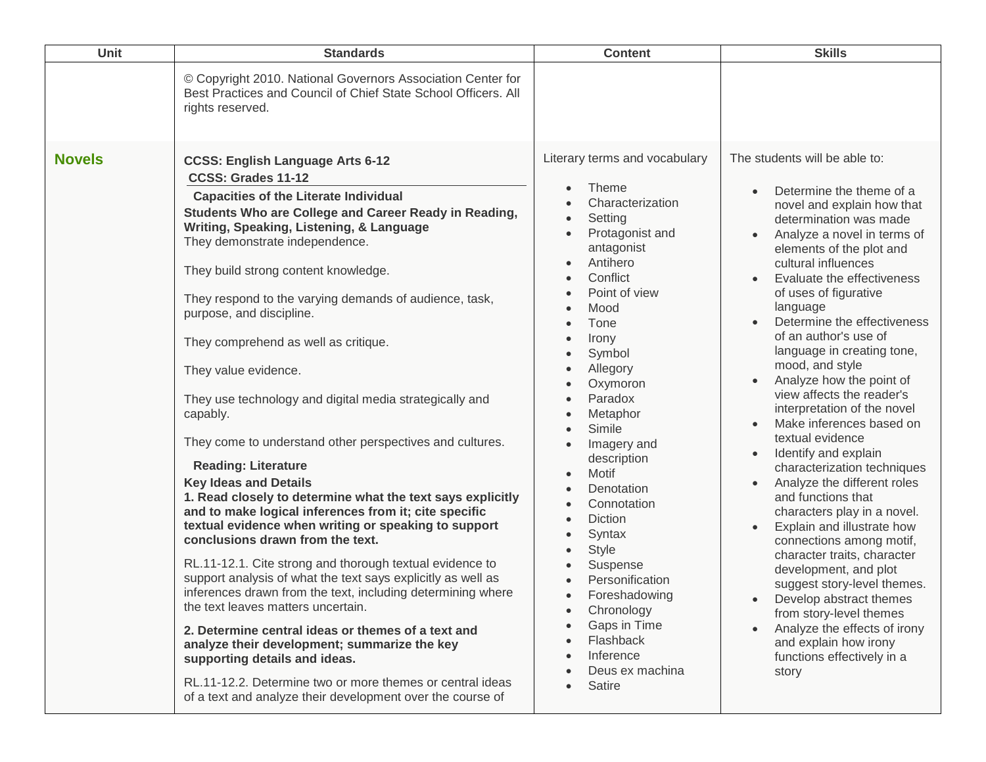| Unit          | <b>Standards</b>                                                                                                                                                                                                                                                                                                                                                                                                                                                                                                                                                                                                                                                                                                                                                                                                                                                                                                                                                                                                                                                                                                                                                                                                                                                                                                                                                          | <b>Content</b>                                                                                                                                                                                                                                                                                                                                                                                                                                                                                   | <b>Skills</b>                                                                                                                                                                                                                                                                                                                                                                                                                                                                                                                                                                                                                                                                                                                                                                                                                                                                                                                                                                                                                 |
|---------------|---------------------------------------------------------------------------------------------------------------------------------------------------------------------------------------------------------------------------------------------------------------------------------------------------------------------------------------------------------------------------------------------------------------------------------------------------------------------------------------------------------------------------------------------------------------------------------------------------------------------------------------------------------------------------------------------------------------------------------------------------------------------------------------------------------------------------------------------------------------------------------------------------------------------------------------------------------------------------------------------------------------------------------------------------------------------------------------------------------------------------------------------------------------------------------------------------------------------------------------------------------------------------------------------------------------------------------------------------------------------------|--------------------------------------------------------------------------------------------------------------------------------------------------------------------------------------------------------------------------------------------------------------------------------------------------------------------------------------------------------------------------------------------------------------------------------------------------------------------------------------------------|-------------------------------------------------------------------------------------------------------------------------------------------------------------------------------------------------------------------------------------------------------------------------------------------------------------------------------------------------------------------------------------------------------------------------------------------------------------------------------------------------------------------------------------------------------------------------------------------------------------------------------------------------------------------------------------------------------------------------------------------------------------------------------------------------------------------------------------------------------------------------------------------------------------------------------------------------------------------------------------------------------------------------------|
|               | © Copyright 2010. National Governors Association Center for<br>Best Practices and Council of Chief State School Officers. All<br>rights reserved.                                                                                                                                                                                                                                                                                                                                                                                                                                                                                                                                                                                                                                                                                                                                                                                                                                                                                                                                                                                                                                                                                                                                                                                                                         |                                                                                                                                                                                                                                                                                                                                                                                                                                                                                                  |                                                                                                                                                                                                                                                                                                                                                                                                                                                                                                                                                                                                                                                                                                                                                                                                                                                                                                                                                                                                                               |
| <b>Novels</b> | <b>CCSS: English Language Arts 6-12</b><br>CCSS: Grades 11-12<br><b>Capacities of the Literate Individual</b><br>Students Who are College and Career Ready in Reading,<br>Writing, Speaking, Listening, & Language<br>They demonstrate independence.<br>They build strong content knowledge.<br>They respond to the varying demands of audience, task,<br>purpose, and discipline.<br>They comprehend as well as critique.<br>They value evidence.<br>They use technology and digital media strategically and<br>capably.<br>They come to understand other perspectives and cultures.<br><b>Reading: Literature</b><br><b>Key Ideas and Details</b><br>1. Read closely to determine what the text says explicitly<br>and to make logical inferences from it; cite specific<br>textual evidence when writing or speaking to support<br>conclusions drawn from the text.<br>RL.11-12.1. Cite strong and thorough textual evidence to<br>support analysis of what the text says explicitly as well as<br>inferences drawn from the text, including determining where<br>the text leaves matters uncertain.<br>2. Determine central ideas or themes of a text and<br>analyze their development; summarize the key<br>supporting details and ideas.<br>RL.11-12.2. Determine two or more themes or central ideas<br>of a text and analyze their development over the course of | Literary terms and vocabulary<br>Theme<br>Characterization<br>Setting<br>Protagonist and<br>antagonist<br>Antihero<br>Conflict<br>Point of view<br>Mood<br>Tone<br>Irony<br>Symbol<br>Allegory<br>Oxymoron<br>Paradox<br>Metaphor<br>Simile<br>Imagery and<br>description<br>Motif<br>Denotation<br>Connotation<br><b>Diction</b><br>Syntax<br><b>Style</b><br>Suspense<br>Personification<br>Foreshadowing<br>Chronology<br>Gaps in Time<br>Flashback<br>Inference<br>Deus ex machina<br>Satire | The students will be able to:<br>Determine the theme of a<br>$\bullet$<br>novel and explain how that<br>determination was made<br>Analyze a novel in terms of<br>elements of the plot and<br>cultural influences<br>Evaluate the effectiveness<br>of uses of figurative<br>language<br>Determine the effectiveness<br>of an author's use of<br>language in creating tone,<br>mood, and style<br>Analyze how the point of<br>view affects the reader's<br>interpretation of the novel<br>Make inferences based on<br>textual evidence<br>Identify and explain<br>$\bullet$<br>characterization techniques<br>Analyze the different roles<br>$\bullet$<br>and functions that<br>characters play in a novel.<br>Explain and illustrate how<br>$\bullet$<br>connections among motif,<br>character traits, character<br>development, and plot<br>suggest story-level themes.<br>Develop abstract themes<br>from story-level themes<br>Analyze the effects of irony<br>and explain how irony<br>functions effectively in a<br>story |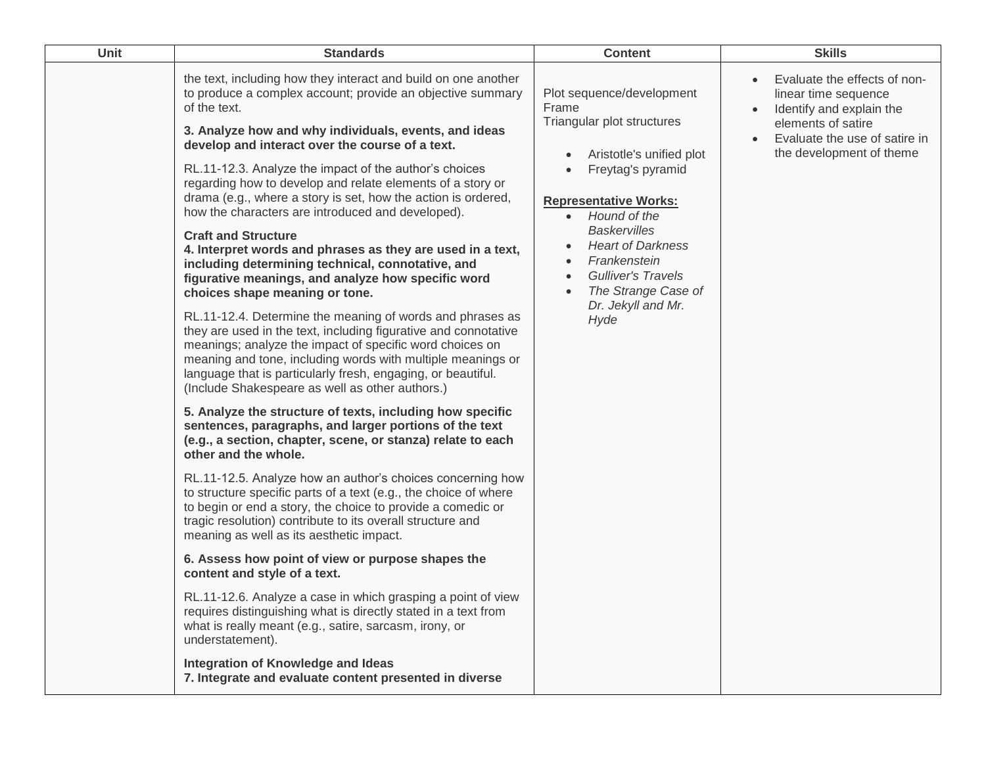| <b>Unit</b> | <b>Standards</b>                                                                                                                                                                                                                                                                                                                                                                                                                                                                                                                                                                                                                                                                                                                                                                                                                                                                                                                                                                                                                                                                                                                                                                                                                                                                                                                                                                                                                                                                                                                                                                                                                                                                                                                                                                                                                                                                                                                                                                                                                                            | <b>Content</b>                                                                                                                                                                                                                                                                                                                                                                                       | <b>Skills</b>                                                                                                                                                       |
|-------------|-------------------------------------------------------------------------------------------------------------------------------------------------------------------------------------------------------------------------------------------------------------------------------------------------------------------------------------------------------------------------------------------------------------------------------------------------------------------------------------------------------------------------------------------------------------------------------------------------------------------------------------------------------------------------------------------------------------------------------------------------------------------------------------------------------------------------------------------------------------------------------------------------------------------------------------------------------------------------------------------------------------------------------------------------------------------------------------------------------------------------------------------------------------------------------------------------------------------------------------------------------------------------------------------------------------------------------------------------------------------------------------------------------------------------------------------------------------------------------------------------------------------------------------------------------------------------------------------------------------------------------------------------------------------------------------------------------------------------------------------------------------------------------------------------------------------------------------------------------------------------------------------------------------------------------------------------------------------------------------------------------------------------------------------------------------|------------------------------------------------------------------------------------------------------------------------------------------------------------------------------------------------------------------------------------------------------------------------------------------------------------------------------------------------------------------------------------------------------|---------------------------------------------------------------------------------------------------------------------------------------------------------------------|
|             | the text, including how they interact and build on one another<br>to produce a complex account; provide an objective summary<br>of the text.<br>3. Analyze how and why individuals, events, and ideas<br>develop and interact over the course of a text.<br>RL.11-12.3. Analyze the impact of the author's choices<br>regarding how to develop and relate elements of a story or<br>drama (e.g., where a story is set, how the action is ordered,<br>how the characters are introduced and developed).<br><b>Craft and Structure</b><br>4. Interpret words and phrases as they are used in a text,<br>including determining technical, connotative, and<br>figurative meanings, and analyze how specific word<br>choices shape meaning or tone.<br>RL.11-12.4. Determine the meaning of words and phrases as<br>they are used in the text, including figurative and connotative<br>meanings; analyze the impact of specific word choices on<br>meaning and tone, including words with multiple meanings or<br>language that is particularly fresh, engaging, or beautiful.<br>(Include Shakespeare as well as other authors.)<br>5. Analyze the structure of texts, including how specific<br>sentences, paragraphs, and larger portions of the text<br>(e.g., a section, chapter, scene, or stanza) relate to each<br>other and the whole.<br>RL.11-12.5. Analyze how an author's choices concerning how<br>to structure specific parts of a text (e.g., the choice of where<br>to begin or end a story, the choice to provide a comedic or<br>tragic resolution) contribute to its overall structure and<br>meaning as well as its aesthetic impact.<br>6. Assess how point of view or purpose shapes the<br>content and style of a text.<br>RL.11-12.6. Analyze a case in which grasping a point of view<br>requires distinguishing what is directly stated in a text from<br>what is really meant (e.g., satire, sarcasm, irony, or<br>understatement).<br>Integration of Knowledge and Ideas<br>7. Integrate and evaluate content presented in diverse | Plot sequence/development<br>Frame<br>Triangular plot structures<br>Aristotle's unified plot<br>$\bullet$<br>Freytag's pyramid<br>$\bullet$<br><b>Representative Works:</b><br>Hound of the<br>$\bullet$<br><b>Baskervilles</b><br><b>Heart of Darkness</b><br>$\bullet$<br>Frankenstein<br>$\bullet$<br><b>Gulliver's Travels</b><br>$\bullet$<br>The Strange Case of<br>Dr. Jekyll and Mr.<br>Hyde | Evaluate the effects of non-<br>linear time sequence<br>Identify and explain the<br>elements of satire<br>Evaluate the use of satire in<br>the development of theme |
|             |                                                                                                                                                                                                                                                                                                                                                                                                                                                                                                                                                                                                                                                                                                                                                                                                                                                                                                                                                                                                                                                                                                                                                                                                                                                                                                                                                                                                                                                                                                                                                                                                                                                                                                                                                                                                                                                                                                                                                                                                                                                             |                                                                                                                                                                                                                                                                                                                                                                                                      |                                                                                                                                                                     |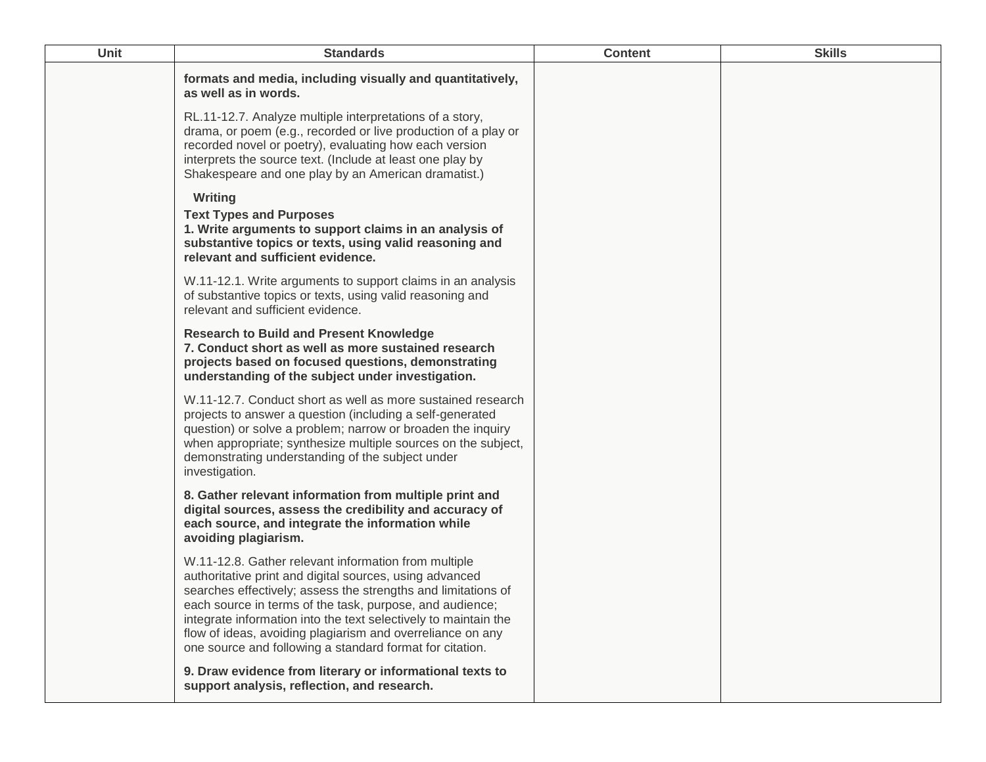| Unit | <b>Standards</b>                                                                                                                                                                                                                                                                                                                                                                                                                          | <b>Content</b> | <b>Skills</b> |
|------|-------------------------------------------------------------------------------------------------------------------------------------------------------------------------------------------------------------------------------------------------------------------------------------------------------------------------------------------------------------------------------------------------------------------------------------------|----------------|---------------|
|      | formats and media, including visually and quantitatively,<br>as well as in words.                                                                                                                                                                                                                                                                                                                                                         |                |               |
|      | RL.11-12.7. Analyze multiple interpretations of a story,<br>drama, or poem (e.g., recorded or live production of a play or<br>recorded novel or poetry), evaluating how each version<br>interprets the source text. (Include at least one play by<br>Shakespeare and one play by an American dramatist.)                                                                                                                                  |                |               |
|      | Writing<br><b>Text Types and Purposes</b><br>1. Write arguments to support claims in an analysis of<br>substantive topics or texts, using valid reasoning and<br>relevant and sufficient evidence.                                                                                                                                                                                                                                        |                |               |
|      | W.11-12.1. Write arguments to support claims in an analysis<br>of substantive topics or texts, using valid reasoning and<br>relevant and sufficient evidence.                                                                                                                                                                                                                                                                             |                |               |
|      | <b>Research to Build and Present Knowledge</b><br>7. Conduct short as well as more sustained research<br>projects based on focused questions, demonstrating<br>understanding of the subject under investigation.                                                                                                                                                                                                                          |                |               |
|      | W.11-12.7. Conduct short as well as more sustained research<br>projects to answer a question (including a self-generated<br>question) or solve a problem; narrow or broaden the inquiry<br>when appropriate; synthesize multiple sources on the subject,<br>demonstrating understanding of the subject under<br>investigation.                                                                                                            |                |               |
|      | 8. Gather relevant information from multiple print and<br>digital sources, assess the credibility and accuracy of<br>each source, and integrate the information while<br>avoiding plagiarism.                                                                                                                                                                                                                                             |                |               |
|      | W.11-12.8. Gather relevant information from multiple<br>authoritative print and digital sources, using advanced<br>searches effectively; assess the strengths and limitations of<br>each source in terms of the task, purpose, and audience;<br>integrate information into the text selectively to maintain the<br>flow of ideas, avoiding plagiarism and overreliance on any<br>one source and following a standard format for citation. |                |               |
|      | 9. Draw evidence from literary or informational texts to<br>support analysis, reflection, and research.                                                                                                                                                                                                                                                                                                                                   |                |               |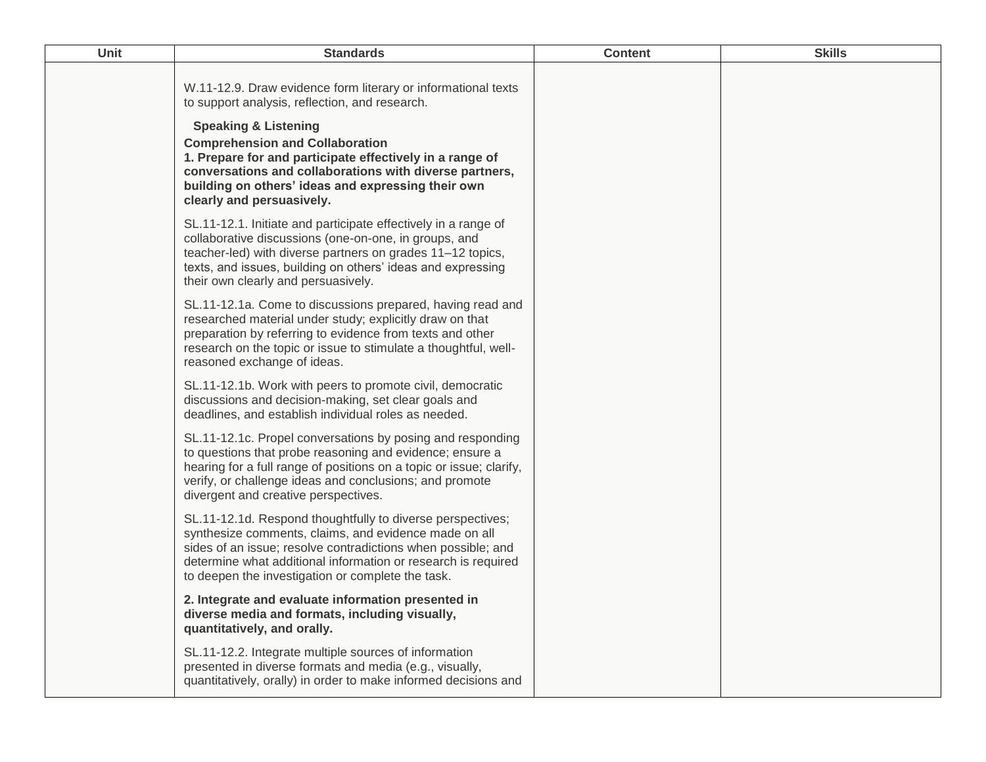| Unit | <b>Standards</b>                                                                                                                                                                                                                                                                                                                                                          | <b>Content</b> | <b>Skills</b> |
|------|---------------------------------------------------------------------------------------------------------------------------------------------------------------------------------------------------------------------------------------------------------------------------------------------------------------------------------------------------------------------------|----------------|---------------|
|      | W.11-12.9. Draw evidence form literary or informational texts<br>to support analysis, reflection, and research.<br><b>Speaking &amp; Listening</b><br><b>Comprehension and Collaboration</b><br>1. Prepare for and participate effectively in a range of<br>conversations and collaborations with diverse partners,<br>building on others' ideas and expressing their own |                |               |
|      | clearly and persuasively.                                                                                                                                                                                                                                                                                                                                                 |                |               |
|      | SL.11-12.1. Initiate and participate effectively in a range of<br>collaborative discussions (one-on-one, in groups, and<br>teacher-led) with diverse partners on grades 11-12 topics,<br>texts, and issues, building on others' ideas and expressing<br>their own clearly and persuasively.                                                                               |                |               |
|      | SL.11-12.1a. Come to discussions prepared, having read and<br>researched material under study; explicitly draw on that<br>preparation by referring to evidence from texts and other<br>research on the topic or issue to stimulate a thoughtful, well-<br>reasoned exchange of ideas.                                                                                     |                |               |
|      | SL.11-12.1b. Work with peers to promote civil, democratic<br>discussions and decision-making, set clear goals and<br>deadlines, and establish individual roles as needed.                                                                                                                                                                                                 |                |               |
|      | SL.11-12.1c. Propel conversations by posing and responding<br>to questions that probe reasoning and evidence; ensure a<br>hearing for a full range of positions on a topic or issue; clarify,<br>verify, or challenge ideas and conclusions; and promote<br>divergent and creative perspectives.                                                                          |                |               |
|      | SL.11-12.1d. Respond thoughtfully to diverse perspectives;<br>synthesize comments, claims, and evidence made on all<br>sides of an issue; resolve contradictions when possible; and<br>determine what additional information or research is required<br>to deepen the investigation or complete the task.                                                                 |                |               |
|      | 2. Integrate and evaluate information presented in<br>diverse media and formats, including visually,<br>quantitatively, and orally.                                                                                                                                                                                                                                       |                |               |
|      | SL.11-12.2. Integrate multiple sources of information<br>presented in diverse formats and media (e.g., visually,<br>quantitatively, orally) in order to make informed decisions and                                                                                                                                                                                       |                |               |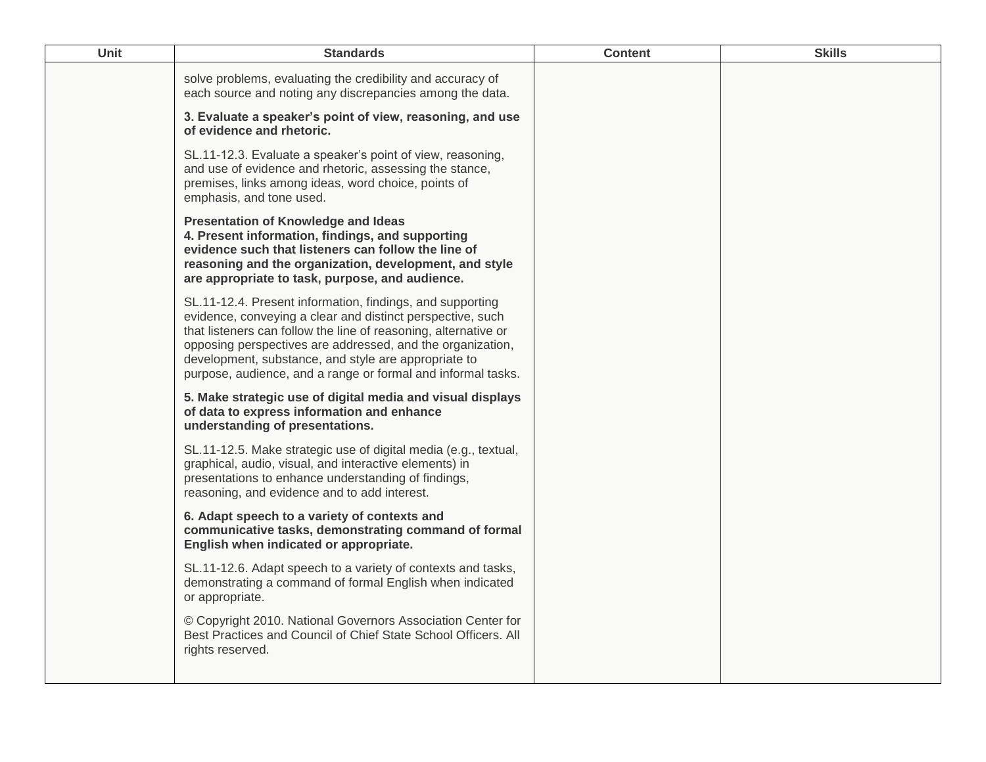| <b>Unit</b> | <b>Standards</b>                                                                                                                                                                                                                                                                                                                                                                 | <b>Content</b> | <b>Skills</b> |
|-------------|----------------------------------------------------------------------------------------------------------------------------------------------------------------------------------------------------------------------------------------------------------------------------------------------------------------------------------------------------------------------------------|----------------|---------------|
|             | solve problems, evaluating the credibility and accuracy of<br>each source and noting any discrepancies among the data.                                                                                                                                                                                                                                                           |                |               |
|             | 3. Evaluate a speaker's point of view, reasoning, and use<br>of evidence and rhetoric.                                                                                                                                                                                                                                                                                           |                |               |
|             | SL.11-12.3. Evaluate a speaker's point of view, reasoning,<br>and use of evidence and rhetoric, assessing the stance,<br>premises, links among ideas, word choice, points of<br>emphasis, and tone used.                                                                                                                                                                         |                |               |
|             | <b>Presentation of Knowledge and Ideas</b><br>4. Present information, findings, and supporting<br>evidence such that listeners can follow the line of<br>reasoning and the organization, development, and style<br>are appropriate to task, purpose, and audience.                                                                                                               |                |               |
|             | SL.11-12.4. Present information, findings, and supporting<br>evidence, conveying a clear and distinct perspective, such<br>that listeners can follow the line of reasoning, alternative or<br>opposing perspectives are addressed, and the organization,<br>development, substance, and style are appropriate to<br>purpose, audience, and a range or formal and informal tasks. |                |               |
|             | 5. Make strategic use of digital media and visual displays<br>of data to express information and enhance<br>understanding of presentations.                                                                                                                                                                                                                                      |                |               |
|             | SL.11-12.5. Make strategic use of digital media (e.g., textual,<br>graphical, audio, visual, and interactive elements) in<br>presentations to enhance understanding of findings,<br>reasoning, and evidence and to add interest.                                                                                                                                                 |                |               |
|             | 6. Adapt speech to a variety of contexts and<br>communicative tasks, demonstrating command of formal<br>English when indicated or appropriate.                                                                                                                                                                                                                                   |                |               |
|             | SL.11-12.6. Adapt speech to a variety of contexts and tasks,<br>demonstrating a command of formal English when indicated<br>or appropriate.                                                                                                                                                                                                                                      |                |               |
|             | © Copyright 2010. National Governors Association Center for<br>Best Practices and Council of Chief State School Officers. All<br>rights reserved.                                                                                                                                                                                                                                |                |               |
|             |                                                                                                                                                                                                                                                                                                                                                                                  |                |               |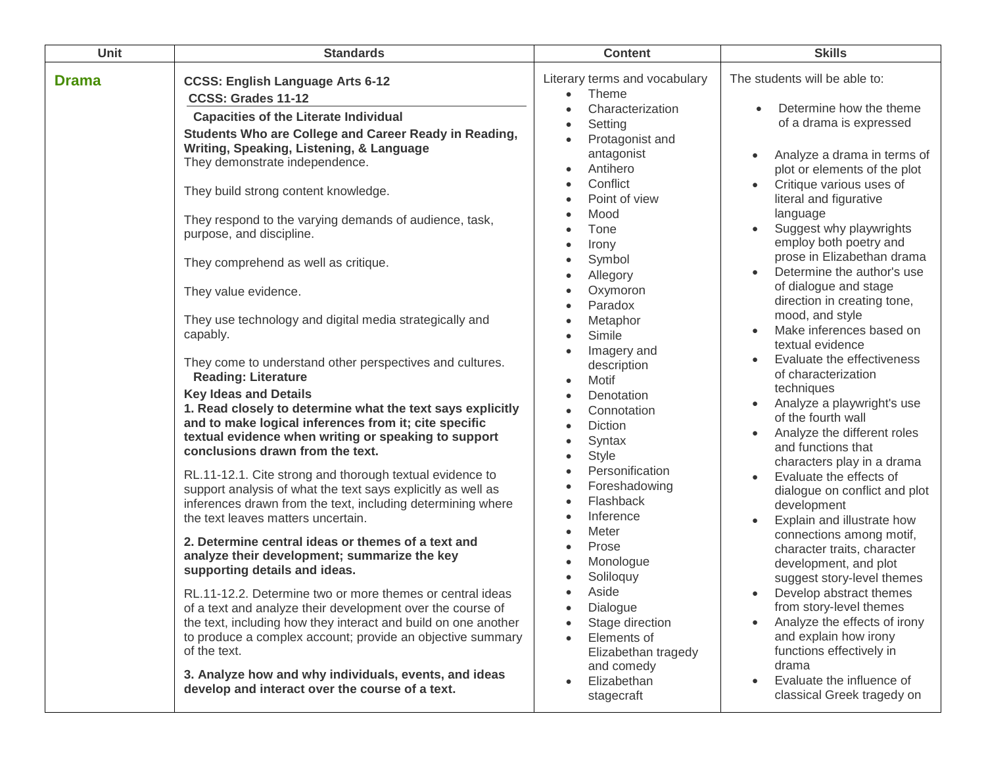| Unit         | <b>Standards</b>                                                                                                                                                                                                                                                                                                                                                                                                                                                                                                                                                                                                                                                                                                                                                                                                                                                                                                                                                                                                                             | <b>Content</b>                                                                                                                                                                                                                                                                                                                                                                                                                                                                                   | <b>Skills</b>                                                                                                                                                                                                                                                                                                                                                                                                                                                                                                                                                                                                      |
|--------------|----------------------------------------------------------------------------------------------------------------------------------------------------------------------------------------------------------------------------------------------------------------------------------------------------------------------------------------------------------------------------------------------------------------------------------------------------------------------------------------------------------------------------------------------------------------------------------------------------------------------------------------------------------------------------------------------------------------------------------------------------------------------------------------------------------------------------------------------------------------------------------------------------------------------------------------------------------------------------------------------------------------------------------------------|--------------------------------------------------------------------------------------------------------------------------------------------------------------------------------------------------------------------------------------------------------------------------------------------------------------------------------------------------------------------------------------------------------------------------------------------------------------------------------------------------|--------------------------------------------------------------------------------------------------------------------------------------------------------------------------------------------------------------------------------------------------------------------------------------------------------------------------------------------------------------------------------------------------------------------------------------------------------------------------------------------------------------------------------------------------------------------------------------------------------------------|
| <b>Drama</b> | <b>CCSS: English Language Arts 6-12</b><br>CCSS: Grades 11-12<br><b>Capacities of the Literate Individual</b><br>Students Who are College and Career Ready in Reading,<br>Writing, Speaking, Listening, & Language<br>They demonstrate independence.<br>They build strong content knowledge.<br>They respond to the varying demands of audience, task,<br>purpose, and discipline.<br>They comprehend as well as critique.<br>They value evidence.<br>They use technology and digital media strategically and<br>capably.<br>They come to understand other perspectives and cultures.                                                                                                                                                                                                                                                                                                                                                                                                                                                        | Literary terms and vocabulary<br>Theme<br>$\bullet$<br>Characterization<br>$\bullet$<br>Setting<br>$\bullet$<br>Protagonist and<br>$\bullet$<br>antagonist<br>Antihero<br>$\bullet$<br>Conflict<br>$\bullet$<br>Point of view<br>$\bullet$<br>Mood<br>$\bullet$<br>Tone<br>$\bullet$<br>Irony<br>$\bullet$<br>Symbol<br>$\bullet$<br>Allegory<br>$\bullet$<br>Oxymoron<br>$\bullet$<br>Paradox<br>Metaphor<br>$\bullet$<br>Simile<br>$\bullet$<br>Imagery and<br>$\bullet$<br>description        | The students will be able to:<br>Determine how the theme<br>of a drama is expressed<br>Analyze a drama in terms of<br>plot or elements of the plot<br>Critique various uses of<br>literal and figurative<br>language<br>Suggest why playwrights<br>employ both poetry and<br>prose in Elizabethan drama<br>Determine the author's use<br>of dialogue and stage<br>direction in creating tone,<br>mood, and style<br>Make inferences based on<br>textual evidence<br>Evaluate the effectiveness                                                                                                                     |
|              | <b>Reading: Literature</b><br><b>Key Ideas and Details</b><br>1. Read closely to determine what the text says explicitly<br>and to make logical inferences from it; cite specific<br>textual evidence when writing or speaking to support<br>conclusions drawn from the text.<br>RL.11-12.1. Cite strong and thorough textual evidence to<br>support analysis of what the text says explicitly as well as<br>inferences drawn from the text, including determining where<br>the text leaves matters uncertain.<br>2. Determine central ideas or themes of a text and<br>analyze their development; summarize the key<br>supporting details and ideas.<br>RL.11-12.2. Determine two or more themes or central ideas<br>of a text and analyze their development over the course of<br>the text, including how they interact and build on one another<br>to produce a complex account; provide an objective summary<br>of the text.<br>3. Analyze how and why individuals, events, and ideas<br>develop and interact over the course of a text. | Motif<br>$\bullet$<br>Denotation<br>$\bullet$<br>Connotation<br>$\bullet$<br>Diction<br>$\bullet$<br>Syntax<br>$\bullet$<br><b>Style</b><br>$\bullet$<br>Personification<br>$\bullet$<br>Foreshadowing<br>$\bullet$<br>Flashback<br>$\bullet$<br>Inference<br>$\bullet$<br>Meter<br>$\bullet$<br>Prose<br>$\bullet$<br>Monologue<br>$\bullet$<br>Soliloquy<br>Aside<br>Dialogue<br>$\bullet$<br>Stage direction<br>Elements of<br>Elizabethan tragedy<br>and comedy<br>Elizabethan<br>stagecraft | of characterization<br>techniques<br>Analyze a playwright's use<br>of the fourth wall<br>Analyze the different roles<br>and functions that<br>characters play in a drama<br>Evaluate the effects of<br>dialogue on conflict and plot<br>development<br>Explain and illustrate how<br>connections among motif,<br>character traits, character<br>development, and plot<br>suggest story-level themes<br>Develop abstract themes<br>from story-level themes<br>Analyze the effects of irony<br>and explain how irony<br>functions effectively in<br>drama<br>Evaluate the influence of<br>classical Greek tragedy on |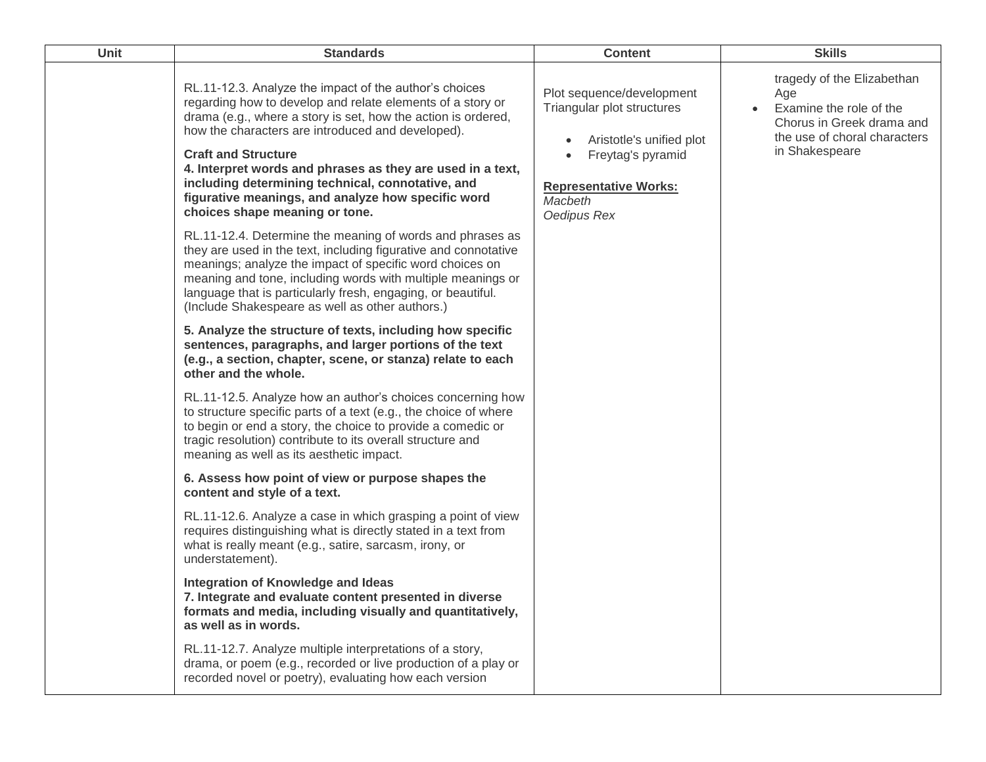| Unit | <b>Standards</b>                                                                                                                                                                                                                                                                                                                                                                                                                                                                    | <b>Content</b>                                                                                                                                                     | <b>Skills</b>                                                                                                                               |
|------|-------------------------------------------------------------------------------------------------------------------------------------------------------------------------------------------------------------------------------------------------------------------------------------------------------------------------------------------------------------------------------------------------------------------------------------------------------------------------------------|--------------------------------------------------------------------------------------------------------------------------------------------------------------------|---------------------------------------------------------------------------------------------------------------------------------------------|
|      | RL.11-12.3. Analyze the impact of the author's choices<br>regarding how to develop and relate elements of a story or<br>drama (e.g., where a story is set, how the action is ordered,<br>how the characters are introduced and developed).<br><b>Craft and Structure</b><br>4. Interpret words and phrases as they are used in a text,<br>including determining technical, connotative, and<br>figurative meanings, and analyze how specific word<br>choices shape meaning or tone. | Plot sequence/development<br>Triangular plot structures<br>Aristotle's unified plot<br>Freytag's pyramid<br><b>Representative Works:</b><br>Macbeth<br>Oedipus Rex | tragedy of the Elizabethan<br>Age<br>Examine the role of the<br>Chorus in Greek drama and<br>the use of choral characters<br>in Shakespeare |
|      | RL.11-12.4. Determine the meaning of words and phrases as<br>they are used in the text, including figurative and connotative<br>meanings; analyze the impact of specific word choices on<br>meaning and tone, including words with multiple meanings or<br>language that is particularly fresh, engaging, or beautiful.<br>(Include Shakespeare as well as other authors.)                                                                                                          |                                                                                                                                                                    |                                                                                                                                             |
|      | 5. Analyze the structure of texts, including how specific<br>sentences, paragraphs, and larger portions of the text<br>(e.g., a section, chapter, scene, or stanza) relate to each<br>other and the whole.                                                                                                                                                                                                                                                                          |                                                                                                                                                                    |                                                                                                                                             |
|      | RL.11-12.5. Analyze how an author's choices concerning how<br>to structure specific parts of a text (e.g., the choice of where<br>to begin or end a story, the choice to provide a comedic or<br>tragic resolution) contribute to its overall structure and<br>meaning as well as its aesthetic impact.                                                                                                                                                                             |                                                                                                                                                                    |                                                                                                                                             |
|      | 6. Assess how point of view or purpose shapes the<br>content and style of a text.                                                                                                                                                                                                                                                                                                                                                                                                   |                                                                                                                                                                    |                                                                                                                                             |
|      | RL.11-12.6. Analyze a case in which grasping a point of view<br>requires distinguishing what is directly stated in a text from<br>what is really meant (e.g., satire, sarcasm, irony, or<br>understatement).                                                                                                                                                                                                                                                                        |                                                                                                                                                                    |                                                                                                                                             |
|      | Integration of Knowledge and Ideas<br>7. Integrate and evaluate content presented in diverse<br>formats and media, including visually and quantitatively,<br>as well as in words.                                                                                                                                                                                                                                                                                                   |                                                                                                                                                                    |                                                                                                                                             |
|      | RL.11-12.7. Analyze multiple interpretations of a story,<br>drama, or poem (e.g., recorded or live production of a play or<br>recorded novel or poetry), evaluating how each version                                                                                                                                                                                                                                                                                                |                                                                                                                                                                    |                                                                                                                                             |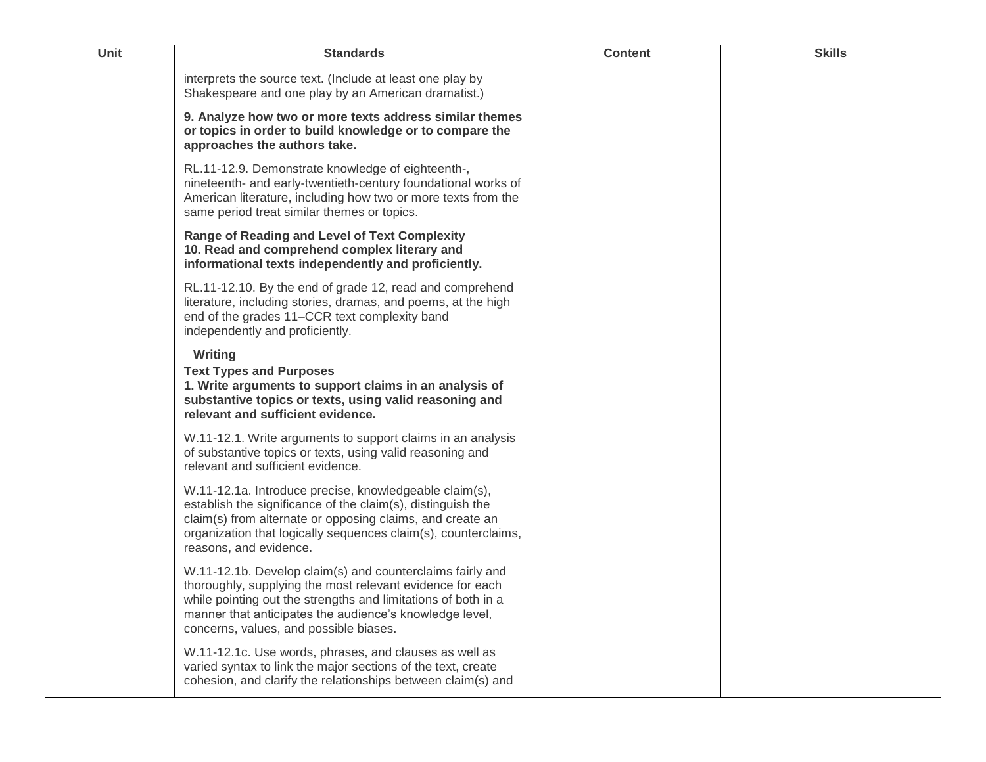| <b>Unit</b> | <b>Standards</b>                                                                                                                                                                                                                                                                             | <b>Content</b> | <b>Skills</b> |
|-------------|----------------------------------------------------------------------------------------------------------------------------------------------------------------------------------------------------------------------------------------------------------------------------------------------|----------------|---------------|
|             | interprets the source text. (Include at least one play by<br>Shakespeare and one play by an American dramatist.)                                                                                                                                                                             |                |               |
|             | 9. Analyze how two or more texts address similar themes<br>or topics in order to build knowledge or to compare the<br>approaches the authors take.                                                                                                                                           |                |               |
|             | RL.11-12.9. Demonstrate knowledge of eighteenth-,<br>nineteenth- and early-twentieth-century foundational works of<br>American literature, including how two or more texts from the<br>same period treat similar themes or topics.                                                           |                |               |
|             | <b>Range of Reading and Level of Text Complexity</b><br>10. Read and comprehend complex literary and<br>informational texts independently and proficiently.                                                                                                                                  |                |               |
|             | RL.11-12.10. By the end of grade 12, read and comprehend<br>literature, including stories, dramas, and poems, at the high<br>end of the grades 11–CCR text complexity band<br>independently and proficiently.                                                                                |                |               |
|             | Writing<br><b>Text Types and Purposes</b><br>1. Write arguments to support claims in an analysis of<br>substantive topics or texts, using valid reasoning and<br>relevant and sufficient evidence.                                                                                           |                |               |
|             | W.11-12.1. Write arguments to support claims in an analysis<br>of substantive topics or texts, using valid reasoning and<br>relevant and sufficient evidence.                                                                                                                                |                |               |
|             | W.11-12.1a. Introduce precise, knowledgeable claim(s),<br>establish the significance of the claim(s), distinguish the<br>claim(s) from alternate or opposing claims, and create an<br>organization that logically sequences claim(s), counterclaims,<br>reasons, and evidence.               |                |               |
|             | W.11-12.1b. Develop claim(s) and counterclaims fairly and<br>thoroughly, supplying the most relevant evidence for each<br>while pointing out the strengths and limitations of both in a<br>manner that anticipates the audience's knowledge level,<br>concerns, values, and possible biases. |                |               |
|             | W.11-12.1c. Use words, phrases, and clauses as well as<br>varied syntax to link the major sections of the text, create<br>cohesion, and clarify the relationships between claim(s) and                                                                                                       |                |               |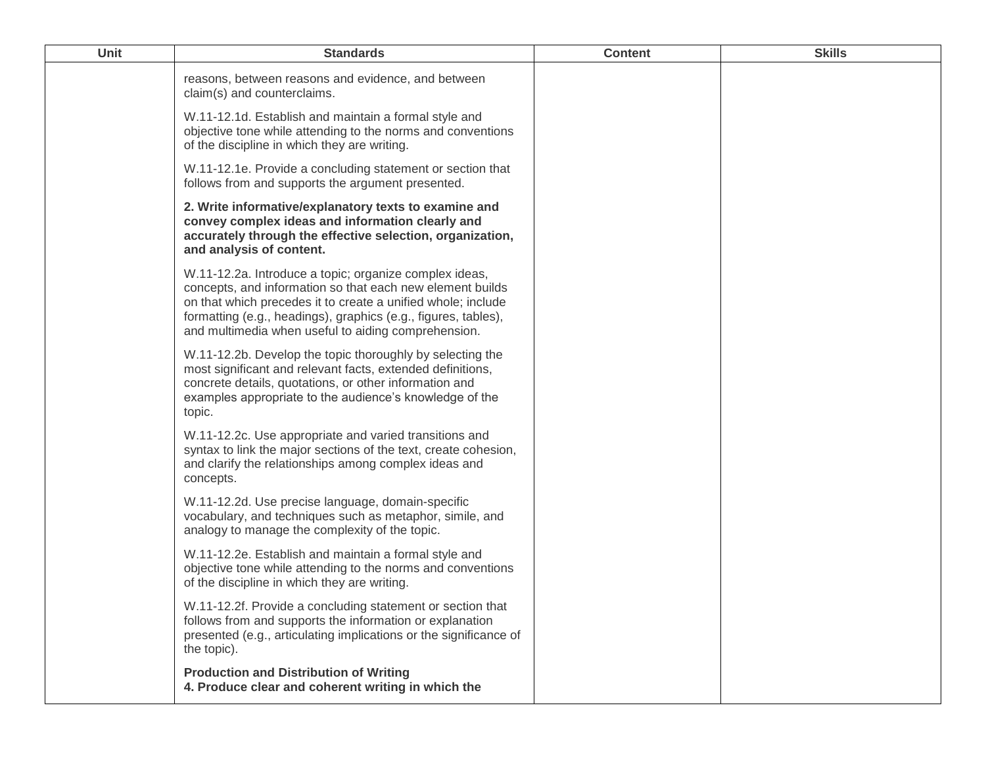| Unit | <b>Standards</b>                                                                                                                                                                                                                                                                                             | <b>Content</b> | <b>Skills</b> |
|------|--------------------------------------------------------------------------------------------------------------------------------------------------------------------------------------------------------------------------------------------------------------------------------------------------------------|----------------|---------------|
|      | reasons, between reasons and evidence, and between<br>claim(s) and counterclaims.                                                                                                                                                                                                                            |                |               |
|      | W.11-12.1d. Establish and maintain a formal style and<br>objective tone while attending to the norms and conventions<br>of the discipline in which they are writing.                                                                                                                                         |                |               |
|      | W.11-12.1e. Provide a concluding statement or section that<br>follows from and supports the argument presented.                                                                                                                                                                                              |                |               |
|      | 2. Write informative/explanatory texts to examine and<br>convey complex ideas and information clearly and<br>accurately through the effective selection, organization,<br>and analysis of content.                                                                                                           |                |               |
|      | W.11-12.2a. Introduce a topic; organize complex ideas,<br>concepts, and information so that each new element builds<br>on that which precedes it to create a unified whole; include<br>formatting (e.g., headings), graphics (e.g., figures, tables),<br>and multimedia when useful to aiding comprehension. |                |               |
|      | W.11-12.2b. Develop the topic thoroughly by selecting the<br>most significant and relevant facts, extended definitions,<br>concrete details, quotations, or other information and<br>examples appropriate to the audience's knowledge of the<br>topic.                                                       |                |               |
|      | W.11-12.2c. Use appropriate and varied transitions and<br>syntax to link the major sections of the text, create cohesion,<br>and clarify the relationships among complex ideas and<br>concepts.                                                                                                              |                |               |
|      | W.11-12.2d. Use precise language, domain-specific<br>vocabulary, and techniques such as metaphor, simile, and<br>analogy to manage the complexity of the topic.                                                                                                                                              |                |               |
|      | W.11-12.2e. Establish and maintain a formal style and<br>objective tone while attending to the norms and conventions<br>of the discipline in which they are writing.                                                                                                                                         |                |               |
|      | W.11-12.2f. Provide a concluding statement or section that<br>follows from and supports the information or explanation<br>presented (e.g., articulating implications or the significance of<br>the topic).                                                                                                   |                |               |
|      | <b>Production and Distribution of Writing</b><br>4. Produce clear and coherent writing in which the                                                                                                                                                                                                          |                |               |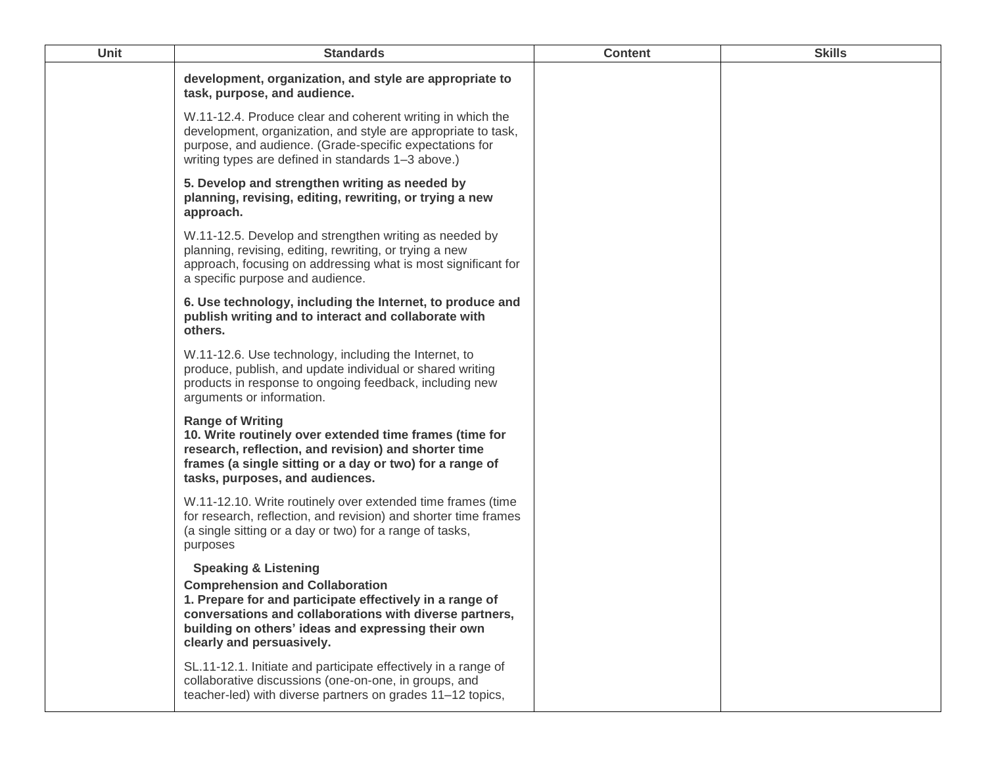| Unit | <b>Standards</b>                                                                                                                                                                                                                                                                    | <b>Content</b> | <b>Skills</b> |
|------|-------------------------------------------------------------------------------------------------------------------------------------------------------------------------------------------------------------------------------------------------------------------------------------|----------------|---------------|
|      | development, organization, and style are appropriate to<br>task, purpose, and audience.                                                                                                                                                                                             |                |               |
|      | W.11-12.4. Produce clear and coherent writing in which the<br>development, organization, and style are appropriate to task,<br>purpose, and audience. (Grade-specific expectations for<br>writing types are defined in standards 1-3 above.)                                        |                |               |
|      | 5. Develop and strengthen writing as needed by<br>planning, revising, editing, rewriting, or trying a new<br>approach.                                                                                                                                                              |                |               |
|      | W.11-12.5. Develop and strengthen writing as needed by<br>planning, revising, editing, rewriting, or trying a new<br>approach, focusing on addressing what is most significant for<br>a specific purpose and audience.                                                              |                |               |
|      | 6. Use technology, including the Internet, to produce and<br>publish writing and to interact and collaborate with<br>others.                                                                                                                                                        |                |               |
|      | W.11-12.6. Use technology, including the Internet, to<br>produce, publish, and update individual or shared writing<br>products in response to ongoing feedback, including new<br>arguments or information.                                                                          |                |               |
|      | <b>Range of Writing</b><br>10. Write routinely over extended time frames (time for<br>research, reflection, and revision) and shorter time<br>frames (a single sitting or a day or two) for a range of<br>tasks, purposes, and audiences.                                           |                |               |
|      | W.11-12.10. Write routinely over extended time frames (time<br>for research, reflection, and revision) and shorter time frames<br>(a single sitting or a day or two) for a range of tasks,<br>purposes                                                                              |                |               |
|      | <b>Speaking &amp; Listening</b><br><b>Comprehension and Collaboration</b><br>1. Prepare for and participate effectively in a range of<br>conversations and collaborations with diverse partners,<br>building on others' ideas and expressing their own<br>clearly and persuasively. |                |               |
|      | SL.11-12.1. Initiate and participate effectively in a range of<br>collaborative discussions (one-on-one, in groups, and<br>teacher-led) with diverse partners on grades 11-12 topics,                                                                                               |                |               |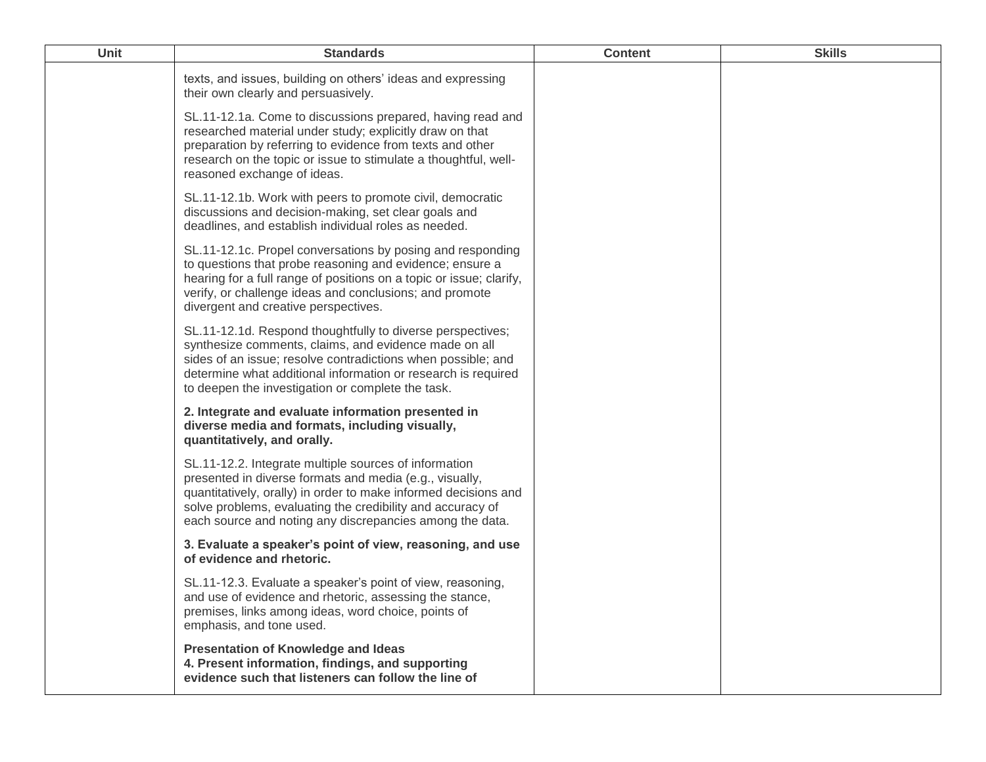| <b>Unit</b> | <b>Standards</b>                                                                                                                                                                                                                                                                                              | <b>Content</b> | <b>Skills</b> |
|-------------|---------------------------------------------------------------------------------------------------------------------------------------------------------------------------------------------------------------------------------------------------------------------------------------------------------------|----------------|---------------|
|             | texts, and issues, building on others' ideas and expressing<br>their own clearly and persuasively.                                                                                                                                                                                                            |                |               |
|             | SL.11-12.1a. Come to discussions prepared, having read and<br>researched material under study; explicitly draw on that<br>preparation by referring to evidence from texts and other<br>research on the topic or issue to stimulate a thoughtful, well-<br>reasoned exchange of ideas.                         |                |               |
|             | SL.11-12.1b. Work with peers to promote civil, democratic<br>discussions and decision-making, set clear goals and<br>deadlines, and establish individual roles as needed.                                                                                                                                     |                |               |
|             | SL.11-12.1c. Propel conversations by posing and responding<br>to questions that probe reasoning and evidence; ensure a<br>hearing for a full range of positions on a topic or issue; clarify,<br>verify, or challenge ideas and conclusions; and promote<br>divergent and creative perspectives.              |                |               |
|             | SL.11-12.1d. Respond thoughtfully to diverse perspectives;<br>synthesize comments, claims, and evidence made on all<br>sides of an issue; resolve contradictions when possible; and<br>determine what additional information or research is required<br>to deepen the investigation or complete the task.     |                |               |
|             | 2. Integrate and evaluate information presented in<br>diverse media and formats, including visually,<br>quantitatively, and orally.                                                                                                                                                                           |                |               |
|             | SL.11-12.2. Integrate multiple sources of information<br>presented in diverse formats and media (e.g., visually,<br>quantitatively, orally) in order to make informed decisions and<br>solve problems, evaluating the credibility and accuracy of<br>each source and noting any discrepancies among the data. |                |               |
|             | 3. Evaluate a speaker's point of view, reasoning, and use<br>of evidence and rhetoric.                                                                                                                                                                                                                        |                |               |
|             | SL.11-12.3. Evaluate a speaker's point of view, reasoning,<br>and use of evidence and rhetoric, assessing the stance,<br>premises, links among ideas, word choice, points of<br>emphasis, and tone used.                                                                                                      |                |               |
|             | <b>Presentation of Knowledge and Ideas</b><br>4. Present information, findings, and supporting<br>evidence such that listeners can follow the line of                                                                                                                                                         |                |               |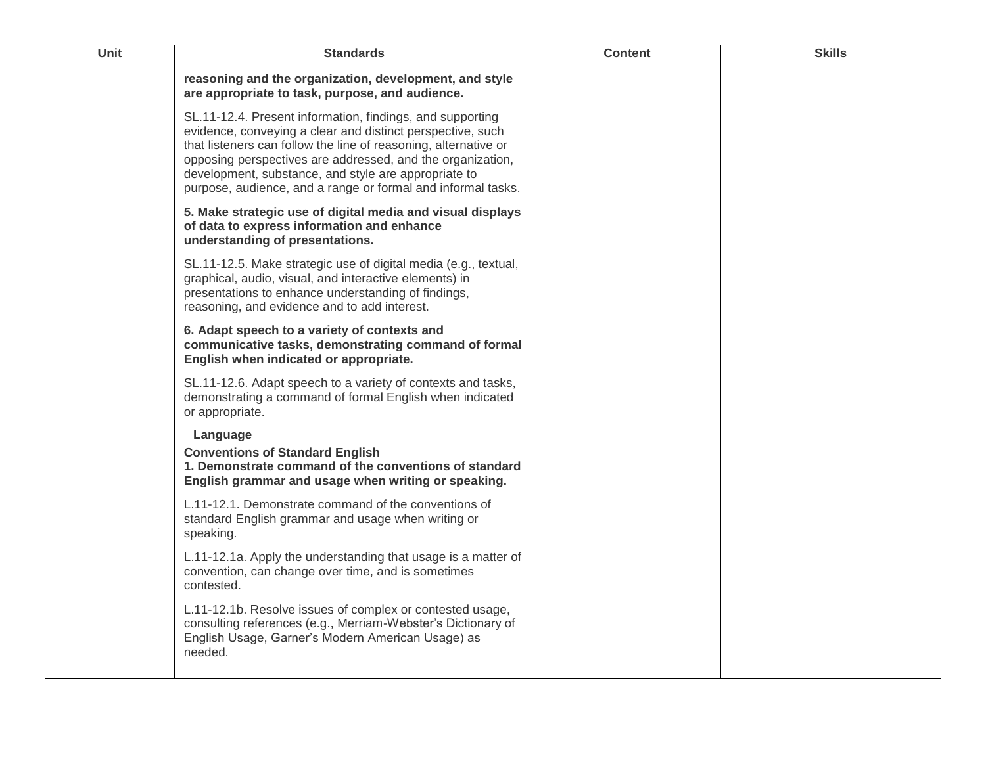| Unit | <b>Standards</b>                                                                                                                                                                                                                                                                                                                                                                 | <b>Content</b> | <b>Skills</b> |
|------|----------------------------------------------------------------------------------------------------------------------------------------------------------------------------------------------------------------------------------------------------------------------------------------------------------------------------------------------------------------------------------|----------------|---------------|
|      | reasoning and the organization, development, and style<br>are appropriate to task, purpose, and audience.                                                                                                                                                                                                                                                                        |                |               |
|      | SL.11-12.4. Present information, findings, and supporting<br>evidence, conveying a clear and distinct perspective, such<br>that listeners can follow the line of reasoning, alternative or<br>opposing perspectives are addressed, and the organization,<br>development, substance, and style are appropriate to<br>purpose, audience, and a range or formal and informal tasks. |                |               |
|      | 5. Make strategic use of digital media and visual displays<br>of data to express information and enhance<br>understanding of presentations.                                                                                                                                                                                                                                      |                |               |
|      | SL.11-12.5. Make strategic use of digital media (e.g., textual,<br>graphical, audio, visual, and interactive elements) in<br>presentations to enhance understanding of findings,<br>reasoning, and evidence and to add interest.                                                                                                                                                 |                |               |
|      | 6. Adapt speech to a variety of contexts and<br>communicative tasks, demonstrating command of formal<br>English when indicated or appropriate.                                                                                                                                                                                                                                   |                |               |
|      | SL.11-12.6. Adapt speech to a variety of contexts and tasks,<br>demonstrating a command of formal English when indicated<br>or appropriate.                                                                                                                                                                                                                                      |                |               |
|      | Language<br><b>Conventions of Standard English</b><br>1. Demonstrate command of the conventions of standard<br>English grammar and usage when writing or speaking.                                                                                                                                                                                                               |                |               |
|      | L.11-12.1. Demonstrate command of the conventions of<br>standard English grammar and usage when writing or<br>speaking.                                                                                                                                                                                                                                                          |                |               |
|      | L.11-12.1a. Apply the understanding that usage is a matter of<br>convention, can change over time, and is sometimes<br>contested.                                                                                                                                                                                                                                                |                |               |
|      | L.11-12.1b. Resolve issues of complex or contested usage,<br>consulting references (e.g., Merriam-Webster's Dictionary of<br>English Usage, Garner's Modern American Usage) as<br>needed.                                                                                                                                                                                        |                |               |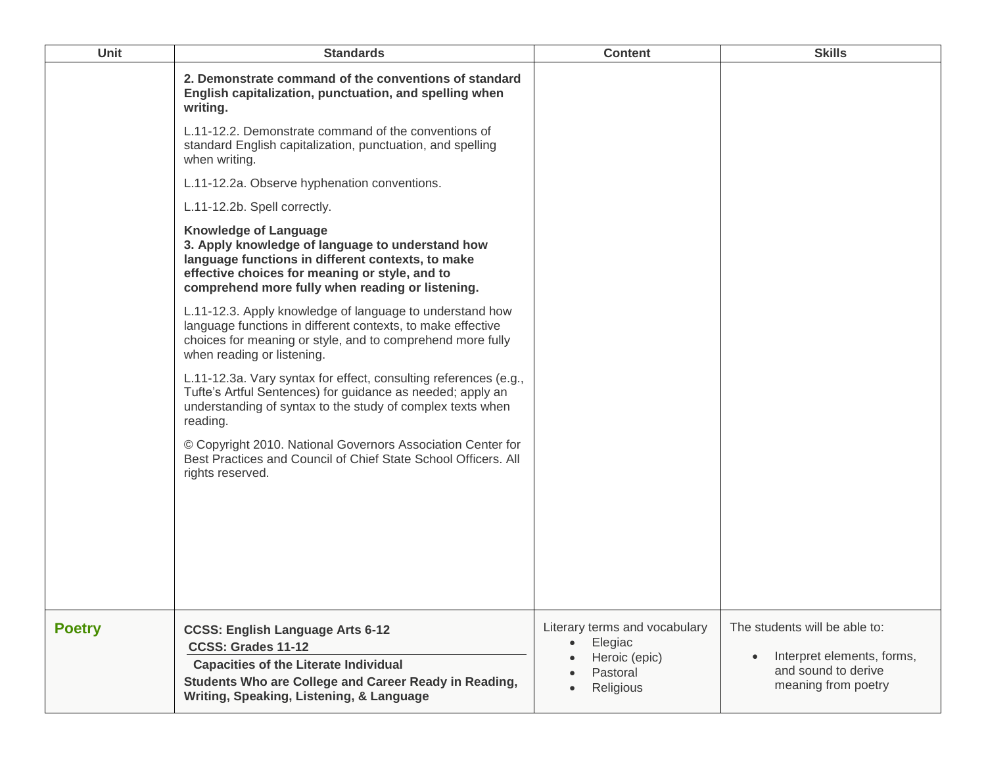| Unit          | <b>Standards</b>                                                                                                                                                                                                                            | <b>Content</b>                                                                                  | <b>Skills</b>                                                                                                          |
|---------------|---------------------------------------------------------------------------------------------------------------------------------------------------------------------------------------------------------------------------------------------|-------------------------------------------------------------------------------------------------|------------------------------------------------------------------------------------------------------------------------|
|               | 2. Demonstrate command of the conventions of standard<br>English capitalization, punctuation, and spelling when<br>writing.                                                                                                                 |                                                                                                 |                                                                                                                        |
|               | L.11-12.2. Demonstrate command of the conventions of<br>standard English capitalization, punctuation, and spelling<br>when writing.                                                                                                         |                                                                                                 |                                                                                                                        |
|               | L.11-12.2a. Observe hyphenation conventions.                                                                                                                                                                                                |                                                                                                 |                                                                                                                        |
|               | L.11-12.2b. Spell correctly.                                                                                                                                                                                                                |                                                                                                 |                                                                                                                        |
|               | <b>Knowledge of Language</b><br>3. Apply knowledge of language to understand how<br>language functions in different contexts, to make<br>effective choices for meaning or style, and to<br>comprehend more fully when reading or listening. |                                                                                                 |                                                                                                                        |
|               | L.11-12.3. Apply knowledge of language to understand how<br>language functions in different contexts, to make effective<br>choices for meaning or style, and to comprehend more fully<br>when reading or listening.                         |                                                                                                 |                                                                                                                        |
|               | L.11-12.3a. Vary syntax for effect, consulting references (e.g.,<br>Tufte's Artful Sentences) for guidance as needed; apply an<br>understanding of syntax to the study of complex texts when<br>reading.                                    |                                                                                                 |                                                                                                                        |
|               | © Copyright 2010. National Governors Association Center for<br>Best Practices and Council of Chief State School Officers. All<br>rights reserved.                                                                                           |                                                                                                 |                                                                                                                        |
|               |                                                                                                                                                                                                                                             |                                                                                                 |                                                                                                                        |
|               |                                                                                                                                                                                                                                             |                                                                                                 |                                                                                                                        |
| <b>Poetry</b> | <b>CCSS: English Language Arts 6-12</b><br>CCSS: Grades 11-12<br><b>Capacities of the Literate Individual</b><br>Students Who are College and Career Ready in Reading,                                                                      | Literary terms and vocabulary<br>Elegiac<br>$\bullet$<br>Heroic (epic)<br>Pastoral<br>Religious | The students will be able to:<br>Interpret elements, forms,<br>$\bullet$<br>and sound to derive<br>meaning from poetry |
|               | Writing, Speaking, Listening, & Language                                                                                                                                                                                                    |                                                                                                 |                                                                                                                        |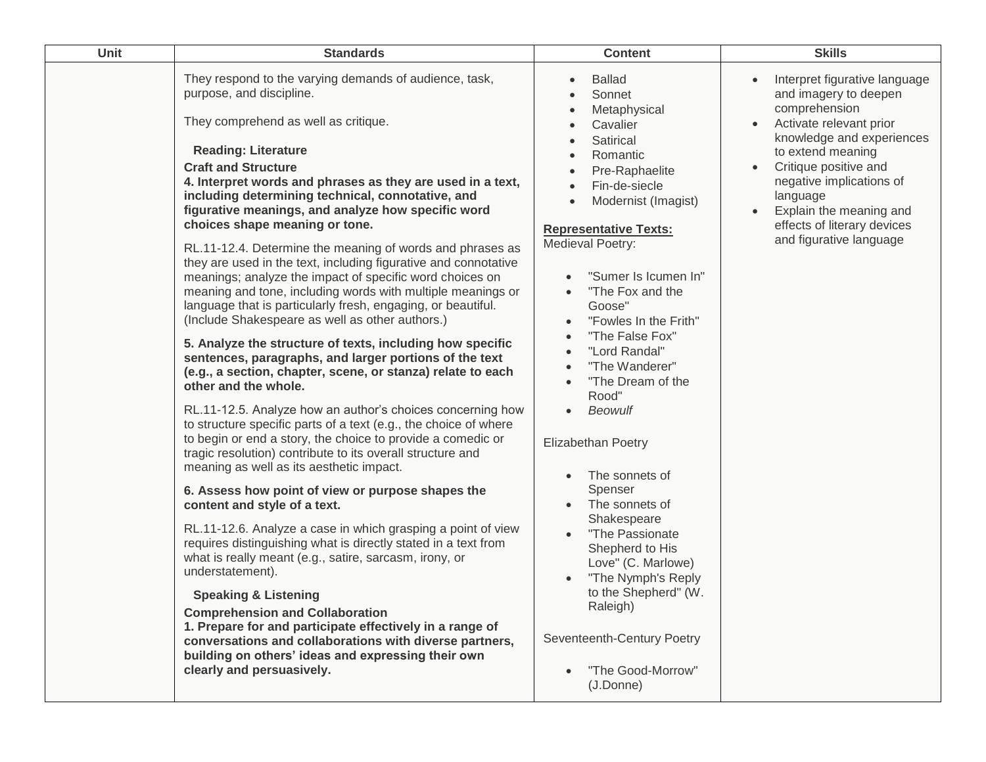| Unit | <b>Standards</b>                                                                                                                                                                                                                                                                                                                                                                                                                                                                                                                                                                                                                                                                                                                                                                                                                                                                                                                                                                                                                                                                                                                                                                                                                                                                                                                                                                                                                                                                                                                                                                                                                                                                                                                                                                                                                                                                                     | <b>Content</b>                                                                                                                                                                                                                                                                                                                                                                                                                                                                                                                                                                                                                                                                       | <b>Skills</b>                                                                                                                                                                                                                                                                                                           |
|------|------------------------------------------------------------------------------------------------------------------------------------------------------------------------------------------------------------------------------------------------------------------------------------------------------------------------------------------------------------------------------------------------------------------------------------------------------------------------------------------------------------------------------------------------------------------------------------------------------------------------------------------------------------------------------------------------------------------------------------------------------------------------------------------------------------------------------------------------------------------------------------------------------------------------------------------------------------------------------------------------------------------------------------------------------------------------------------------------------------------------------------------------------------------------------------------------------------------------------------------------------------------------------------------------------------------------------------------------------------------------------------------------------------------------------------------------------------------------------------------------------------------------------------------------------------------------------------------------------------------------------------------------------------------------------------------------------------------------------------------------------------------------------------------------------------------------------------------------------------------------------------------------------|--------------------------------------------------------------------------------------------------------------------------------------------------------------------------------------------------------------------------------------------------------------------------------------------------------------------------------------------------------------------------------------------------------------------------------------------------------------------------------------------------------------------------------------------------------------------------------------------------------------------------------------------------------------------------------------|-------------------------------------------------------------------------------------------------------------------------------------------------------------------------------------------------------------------------------------------------------------------------------------------------------------------------|
|      | They respond to the varying demands of audience, task,<br>purpose, and discipline.<br>They comprehend as well as critique.<br><b>Reading: Literature</b><br><b>Craft and Structure</b><br>4. Interpret words and phrases as they are used in a text,<br>including determining technical, connotative, and<br>figurative meanings, and analyze how specific word<br>choices shape meaning or tone.<br>RL.11-12.4. Determine the meaning of words and phrases as<br>they are used in the text, including figurative and connotative<br>meanings; analyze the impact of specific word choices on<br>meaning and tone, including words with multiple meanings or<br>language that is particularly fresh, engaging, or beautiful.<br>(Include Shakespeare as well as other authors.)<br>5. Analyze the structure of texts, including how specific<br>sentences, paragraphs, and larger portions of the text<br>(e.g., a section, chapter, scene, or stanza) relate to each<br>other and the whole.<br>RL.11-12.5. Analyze how an author's choices concerning how<br>to structure specific parts of a text (e.g., the choice of where<br>to begin or end a story, the choice to provide a comedic or<br>tragic resolution) contribute to its overall structure and<br>meaning as well as its aesthetic impact.<br>6. Assess how point of view or purpose shapes the<br>content and style of a text.<br>RL.11-12.6. Analyze a case in which grasping a point of view<br>requires distinguishing what is directly stated in a text from<br>what is really meant (e.g., satire, sarcasm, irony, or<br>understatement).<br><b>Speaking &amp; Listening</b><br><b>Comprehension and Collaboration</b><br>1. Prepare for and participate effectively in a range of<br>conversations and collaborations with diverse partners,<br>building on others' ideas and expressing their own<br>clearly and persuasively. | <b>Ballad</b><br>Sonnet<br>Metaphysical<br>Cavalier<br>Satirical<br>Romantic<br>Pre-Raphaelite<br>Fin-de-siecle<br>Modernist (Imagist)<br><b>Representative Texts:</b><br>Medieval Poetry:<br>"Sumer Is Icumen In"<br>"The Fox and the<br>$\bullet$<br>Goose"<br>"Fowles In the Frith"<br>"The False Fox"<br>"Lord Randal"<br>"The Wanderer"<br>"The Dream of the<br>Rood"<br>Beowulf<br>$\bullet$<br><b>Elizabethan Poetry</b><br>The sonnets of<br>Spenser<br>The sonnets of<br>Shakespeare<br>"The Passionate"<br>Shepherd to His<br>Love" (C. Marlowe)<br>"The Nymph's Reply<br>to the Shepherd" (W.<br>Raleigh)<br>Seventeenth-Century Poetry<br>"The Good-Morrow"<br>(J.Donne) | Interpret figurative language<br>and imagery to deepen<br>comprehension<br>Activate relevant prior<br>knowledge and experiences<br>to extend meaning<br>Critique positive and<br>$\bullet$<br>negative implications of<br>language<br>Explain the meaning and<br>effects of literary devices<br>and figurative language |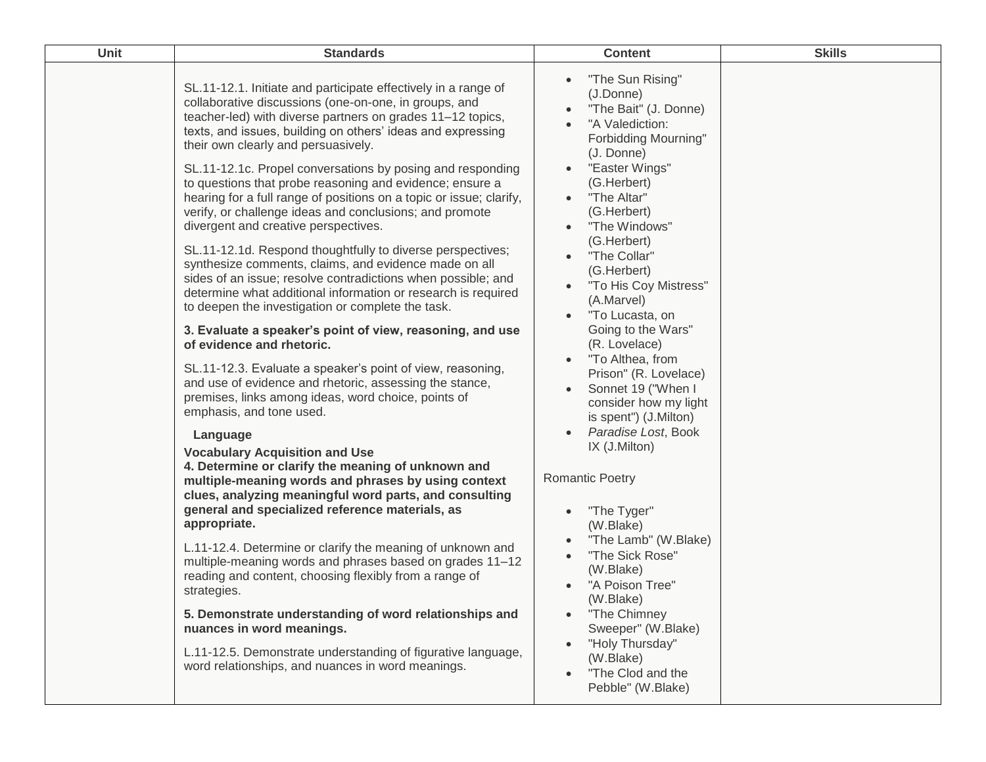| <b>Unit</b> | <b>Standards</b>                                                                                                                                                                                                                                                                                                                                                                                                                                                                                                                                                                                                                                                                                                                                                                                                                                                                                                                                                                                                                                                     | <b>Content</b>                                                                                                                                                                                                                                                                                                                                                                                                                | <b>Skills</b> |
|-------------|----------------------------------------------------------------------------------------------------------------------------------------------------------------------------------------------------------------------------------------------------------------------------------------------------------------------------------------------------------------------------------------------------------------------------------------------------------------------------------------------------------------------------------------------------------------------------------------------------------------------------------------------------------------------------------------------------------------------------------------------------------------------------------------------------------------------------------------------------------------------------------------------------------------------------------------------------------------------------------------------------------------------------------------------------------------------|-------------------------------------------------------------------------------------------------------------------------------------------------------------------------------------------------------------------------------------------------------------------------------------------------------------------------------------------------------------------------------------------------------------------------------|---------------|
|             | SL.11-12.1. Initiate and participate effectively in a range of<br>collaborative discussions (one-on-one, in groups, and<br>teacher-led) with diverse partners on grades 11-12 topics,<br>texts, and issues, building on others' ideas and expressing<br>their own clearly and persuasively.<br>SL.11-12.1c. Propel conversations by posing and responding<br>to questions that probe reasoning and evidence; ensure a<br>hearing for a full range of positions on a topic or issue; clarify,<br>verify, or challenge ideas and conclusions; and promote<br>divergent and creative perspectives.<br>SL.11-12.1d. Respond thoughtfully to diverse perspectives;<br>synthesize comments, claims, and evidence made on all<br>sides of an issue; resolve contradictions when possible; and<br>determine what additional information or research is required<br>to deepen the investigation or complete the task.<br>3. Evaluate a speaker's point of view, reasoning, and use<br>of evidence and rhetoric.<br>SL.11-12.3. Evaluate a speaker's point of view, reasoning, | "The Sun Rising"<br>(J.Donne)<br>"The Bait" (J. Donne)<br>$\bullet$<br>"A Valediction:<br><b>Forbidding Mourning"</b><br>(J. Donne)<br>"Easter Wings"<br>(G.Herbert)<br>"The Altar"<br>(G.Herbert)<br>"The Windows"<br>(G.Herbert)<br>"The Collar"<br>(G.Herbert)<br>"To His Coy Mistress"<br>(A.Marvel)<br>"To Lucasta, on<br>Going to the Wars"<br>(R. Lovelace)<br>"To Althea, from                                        |               |
|             | and use of evidence and rhetoric, assessing the stance,<br>premises, links among ideas, word choice, points of<br>emphasis, and tone used.<br>Language<br><b>Vocabulary Acquisition and Use</b><br>4. Determine or clarify the meaning of unknown and<br>multiple-meaning words and phrases by using context<br>clues, analyzing meaningful word parts, and consulting<br>general and specialized reference materials, as<br>appropriate.<br>L.11-12.4. Determine or clarify the meaning of unknown and<br>multiple-meaning words and phrases based on grades 11-12<br>reading and content, choosing flexibly from a range of<br>strategies.<br>5. Demonstrate understanding of word relationships and<br>nuances in word meanings.<br>L.11-12.5. Demonstrate understanding of figurative language,<br>word relationships, and nuances in word meanings.                                                                                                                                                                                                             | Prison" (R. Lovelace)<br>Sonnet 19 ("When I<br>consider how my light<br>is spent") (J.Milton)<br>Paradise Lost, Book<br>IX (J.Milton)<br><b>Romantic Poetry</b><br>"The Tyger"<br>(W.Blake)<br>"The Lamb" (W.Blake)<br>"The Sick Rose"<br>(W.Blake)<br>"A Poison Tree"<br>(W.Blake)<br>"The Chimney<br>Sweeper" (W.Blake)<br>"Holy Thursday"<br>$\bullet$<br>(W.Blake)<br>"The Clod and the<br>$\bullet$<br>Pebble" (W.Blake) |               |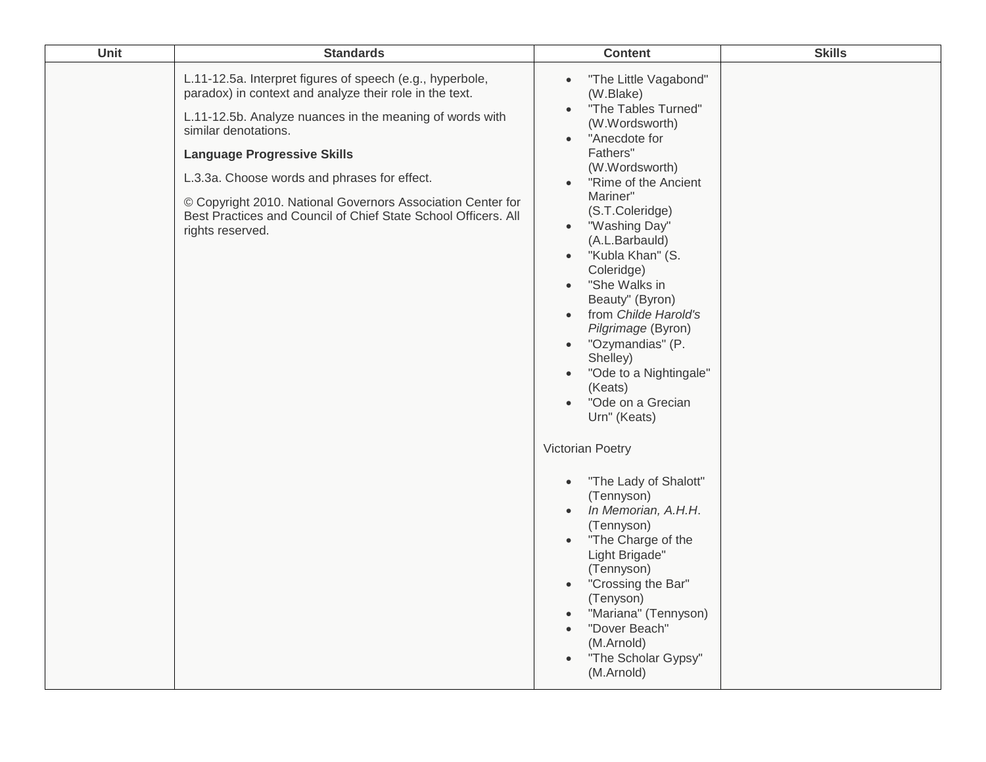| Unit | <b>Standards</b>                                                                                                                                                                                                                                                                                                                                                                                                                                    | <b>Content</b>                                                                                                                                                                                                                                                                                                                                                                                                                                                                                                                                                                                                                                                                                                                                                                                                                                                                                                                                                              | <b>Skills</b> |
|------|-----------------------------------------------------------------------------------------------------------------------------------------------------------------------------------------------------------------------------------------------------------------------------------------------------------------------------------------------------------------------------------------------------------------------------------------------------|-----------------------------------------------------------------------------------------------------------------------------------------------------------------------------------------------------------------------------------------------------------------------------------------------------------------------------------------------------------------------------------------------------------------------------------------------------------------------------------------------------------------------------------------------------------------------------------------------------------------------------------------------------------------------------------------------------------------------------------------------------------------------------------------------------------------------------------------------------------------------------------------------------------------------------------------------------------------------------|---------------|
|      | L.11-12.5a. Interpret figures of speech (e.g., hyperbole,<br>paradox) in context and analyze their role in the text.<br>L.11-12.5b. Analyze nuances in the meaning of words with<br>similar denotations.<br><b>Language Progressive Skills</b><br>L.3.3a. Choose words and phrases for effect.<br>© Copyright 2010. National Governors Association Center for<br>Best Practices and Council of Chief State School Officers. All<br>rights reserved. | "The Little Vagabond"<br>$\bullet$<br>(W.Blake)<br>"The Tables Turned"<br>$\bullet$<br>(W.Wordsworth)<br>"Anecdote for<br>$\bullet$<br>Fathers"<br>(W.Wordsworth)<br>"Rime of the Ancient<br>$\bullet$<br>Mariner"<br>(S.T.Coleridge)<br>"Washing Day"<br>$\bullet$<br>(A.L.Barbauld)<br>"Kubla Khan" (S.<br>$\bullet$<br>Coleridge)<br>"She Walks in<br>$\bullet$<br>Beauty" (Byron)<br>from Childe Harold's<br>$\bullet$<br>Pilgrimage (Byron)<br>"Ozymandias" (P.<br>$\bullet$<br>Shelley)<br>"Ode to a Nightingale"<br>$\bullet$<br>(Keats)<br>"Ode on a Grecian<br>$\bullet$<br>Urn" (Keats)<br><b>Victorian Poetry</b><br>"The Lady of Shalott"<br>$\bullet$<br>(Tennyson)<br>In Memorian, A.H.H.<br>$\bullet$<br>(Tennyson)<br>"The Charge of the<br>$\bullet$<br>Light Brigade"<br>(Tennyson)<br>"Crossing the Bar"<br>$\bullet$<br>(Tenyson)<br>"Mariana" (Tennyson)<br>$\bullet$<br>"Dover Beach"<br>$\bullet$<br>(M.Arnold)<br>"The Scholar Gypsy"<br>(M.Arnold) |               |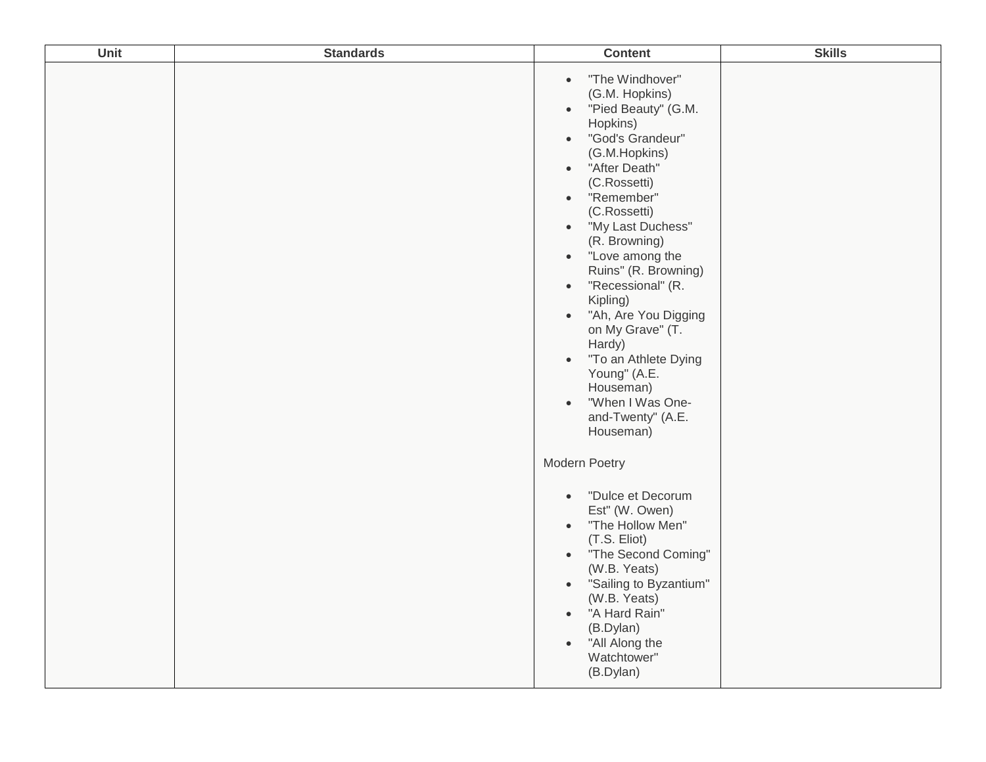| Unit | <b>Standards</b> | <b>Content</b>                                                                                                                                                                                                                                                                                                                                                                                                                                                                                                                                                                                             | <b>Skills</b> |
|------|------------------|------------------------------------------------------------------------------------------------------------------------------------------------------------------------------------------------------------------------------------------------------------------------------------------------------------------------------------------------------------------------------------------------------------------------------------------------------------------------------------------------------------------------------------------------------------------------------------------------------------|---------------|
|      |                  | "The Windhover"<br>$\bullet$<br>(G.M. Hopkins)<br>"Pied Beauty" (G.M.<br>$\bullet$<br>Hopkins)<br>"God's Grandeur"<br>$\bullet$<br>(G.M.Hopkins)<br>"After Death"<br>$\bullet$<br>(C.Rossetti)<br>"Remember"<br>$\bullet$<br>(C.Rossetti)<br>"My Last Duchess"<br>$\bullet$<br>(R. Browning)<br>"Love among the<br>$\bullet$<br>Ruins" (R. Browning)<br>"Recessional" (R.<br>$\bullet$<br>Kipling)<br>"Ah, Are You Digging<br>$\bullet$<br>on My Grave" (T.<br>Hardy)<br>"To an Athlete Dying<br>$\bullet$<br>Young" (A.E.<br>Houseman)<br>"When I Was One-<br>$\bullet$<br>and-Twenty" (A.E.<br>Houseman) |               |
|      |                  | Modern Poetry<br>"Dulce et Decorum<br>$\bullet$<br>Est" (W. Owen)<br>"The Hollow Men"<br>$\bullet$<br>(T.S. Eliot)<br>"The Second Coming"<br>$\bullet$<br>(W.B. Yeats)<br>"Sailing to Byzantium"<br>$\bullet$<br>(W.B. Yeats)<br>"A Hard Rain"<br>$\bullet$<br>(B.Dylan)<br>"All Along the<br>$\bullet$<br>Watchtower"<br>(B.Dylan)                                                                                                                                                                                                                                                                        |               |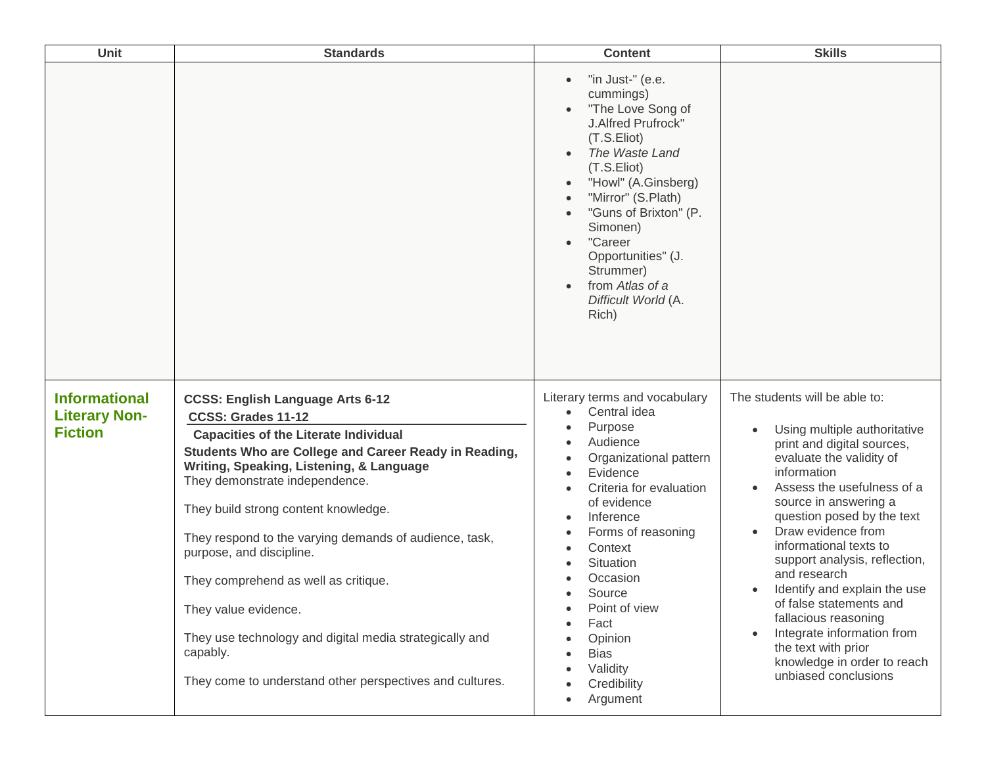| Unit                                                           | <b>Standards</b>                                                                                                                                                                                                                                                                                                                                                                                                                                                                                                                                                                      | <b>Content</b>                                                                                                                                                                                                                                                                                                                               | <b>Skills</b>                                                                                                                                                                                                                                                                                                                                                                                                                                                                                                                                         |
|----------------------------------------------------------------|---------------------------------------------------------------------------------------------------------------------------------------------------------------------------------------------------------------------------------------------------------------------------------------------------------------------------------------------------------------------------------------------------------------------------------------------------------------------------------------------------------------------------------------------------------------------------------------|----------------------------------------------------------------------------------------------------------------------------------------------------------------------------------------------------------------------------------------------------------------------------------------------------------------------------------------------|-------------------------------------------------------------------------------------------------------------------------------------------------------------------------------------------------------------------------------------------------------------------------------------------------------------------------------------------------------------------------------------------------------------------------------------------------------------------------------------------------------------------------------------------------------|
|                                                                |                                                                                                                                                                                                                                                                                                                                                                                                                                                                                                                                                                                       | "in Just-" (e.e.<br>cummings)<br>"The Love Song of<br>J.Alfred Prufrock"<br>(T.S.Eliot)<br>The Waste Land<br>(T.S.Eliot)<br>"Howl" (A.Ginsberg)<br>"Mirror" (S.Plath)<br>"Guns of Brixton" (P.<br>Simonen)<br>"Career<br>$\bullet$<br>Opportunities" (J.<br>Strummer)<br>from Atlas of a<br>Difficult World (A.<br>Rich)                     |                                                                                                                                                                                                                                                                                                                                                                                                                                                                                                                                                       |
| <b>Informational</b><br><b>Literary Non-</b><br><b>Fiction</b> | <b>CCSS: English Language Arts 6-12</b><br>CCSS: Grades 11-12<br><b>Capacities of the Literate Individual</b><br>Students Who are College and Career Ready in Reading,<br>Writing, Speaking, Listening, & Language<br>They demonstrate independence.<br>They build strong content knowledge.<br>They respond to the varying demands of audience, task,<br>purpose, and discipline.<br>They comprehend as well as critique.<br>They value evidence.<br>They use technology and digital media strategically and<br>capably.<br>They come to understand other perspectives and cultures. | Literary terms and vocabulary<br>Central idea<br>$\bullet$<br>Purpose<br>Audience<br>Organizational pattern<br>Evidence<br>Criteria for evaluation<br>of evidence<br>Inference<br>Forms of reasoning<br>Context<br>Situation<br>Occasion<br>Source<br>Point of view<br>Fact<br>Opinion<br><b>Bias</b><br>Validity<br>Credibility<br>Argument | The students will be able to:<br>Using multiple authoritative<br>$\bullet$<br>print and digital sources,<br>evaluate the validity of<br>information<br>Assess the usefulness of a<br>source in answering a<br>question posed by the text<br>Draw evidence from<br>informational texts to<br>support analysis, reflection,<br>and research<br>Identify and explain the use<br>$\bullet$<br>of false statements and<br>fallacious reasoning<br>Integrate information from<br>the text with prior<br>knowledge in order to reach<br>unbiased conclusions |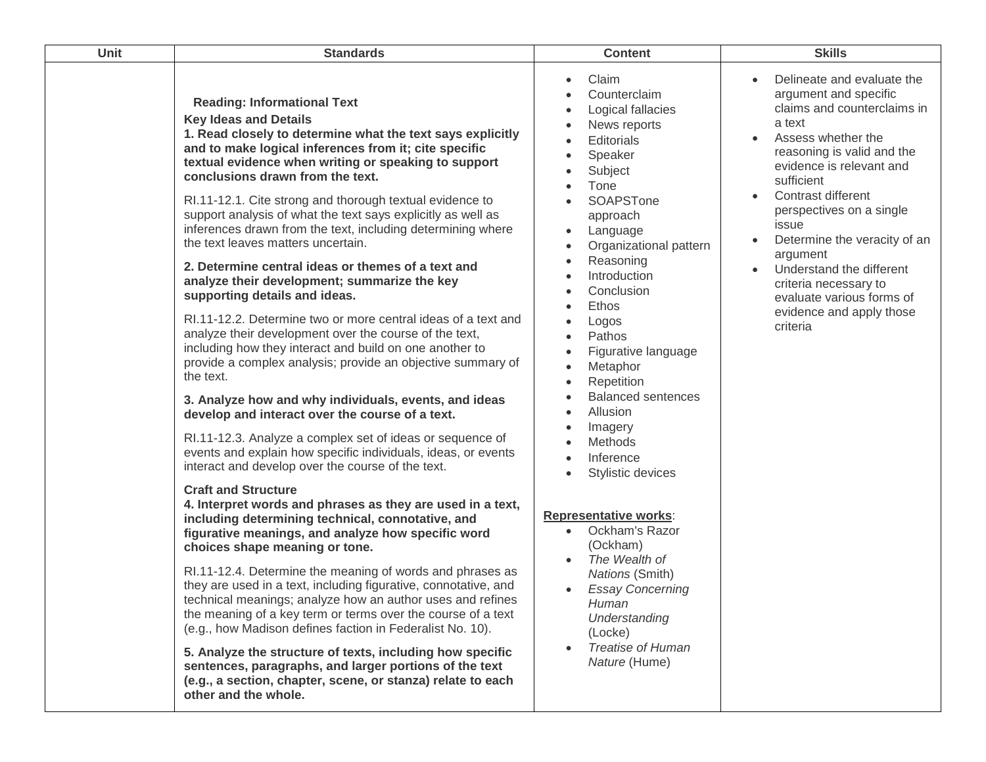| Unit | <b>Standards</b>                                                                                                                                                                                                                                                                                                                                                                                                                                                                                                                                                                                                                                                                                                                                                                                                                                                                                                                                                                                                                                                                                                                                                                                                               | <b>Content</b>                                                                                                                                                                                                                                                                                                                                                                                                                                                                                                                                                                                                                                                                               | <b>Skills</b>                                                                                                                                                                                                                                                                                                                                                                                                                            |
|------|--------------------------------------------------------------------------------------------------------------------------------------------------------------------------------------------------------------------------------------------------------------------------------------------------------------------------------------------------------------------------------------------------------------------------------------------------------------------------------------------------------------------------------------------------------------------------------------------------------------------------------------------------------------------------------------------------------------------------------------------------------------------------------------------------------------------------------------------------------------------------------------------------------------------------------------------------------------------------------------------------------------------------------------------------------------------------------------------------------------------------------------------------------------------------------------------------------------------------------|----------------------------------------------------------------------------------------------------------------------------------------------------------------------------------------------------------------------------------------------------------------------------------------------------------------------------------------------------------------------------------------------------------------------------------------------------------------------------------------------------------------------------------------------------------------------------------------------------------------------------------------------------------------------------------------------|------------------------------------------------------------------------------------------------------------------------------------------------------------------------------------------------------------------------------------------------------------------------------------------------------------------------------------------------------------------------------------------------------------------------------------------|
|      | <b>Reading: Informational Text</b><br><b>Key Ideas and Details</b><br>1. Read closely to determine what the text says explicitly<br>and to make logical inferences from it; cite specific<br>textual evidence when writing or speaking to support<br>conclusions drawn from the text.<br>RI.11-12.1. Cite strong and thorough textual evidence to<br>support analysis of what the text says explicitly as well as<br>inferences drawn from the text, including determining where<br>the text leaves matters uncertain.<br>2. Determine central ideas or themes of a text and<br>analyze their development; summarize the key<br>supporting details and ideas.<br>RI.11-12.2. Determine two or more central ideas of a text and<br>analyze their development over the course of the text,<br>including how they interact and build on one another to<br>provide a complex analysis; provide an objective summary of<br>the text.<br>3. Analyze how and why individuals, events, and ideas<br>develop and interact over the course of a text.<br>RI.11-12.3. Analyze a complex set of ideas or sequence of<br>events and explain how specific individuals, ideas, or events<br>interact and develop over the course of the text. | Claim<br>$\bullet$<br>Counterclaim<br>$\bullet$<br>Logical fallacies<br>$\bullet$<br>News reports<br>$\bullet$<br>Editorials<br>$\bullet$<br>Speaker<br>$\bullet$<br>Subject<br>$\bullet$<br>Tone<br>$\bullet$<br>SOAPSTone<br>$\bullet$<br>approach<br>Language<br>$\bullet$<br>Organizational pattern<br>$\bullet$<br>Reasoning<br>$\bullet$<br>Introduction<br>$\bullet$<br>Conclusion<br>Ethos<br>Logos<br>Pathos<br>$\bullet$<br>Figurative language<br>$\bullet$<br>Metaphor<br>$\bullet$<br>Repetition<br>$\bullet$<br><b>Balanced sentences</b><br>$\bullet$<br>Allusion<br>$\bullet$<br>Imagery<br>$\bullet$<br>Methods<br>Inference<br>$\bullet$<br>Stylistic devices<br>$\bullet$ | Delineate and evaluate the<br>argument and specific<br>claims and counterclaims in<br>a text<br>Assess whether the<br>$\bullet$<br>reasoning is valid and the<br>evidence is relevant and<br>sufficient<br>Contrast different<br>perspectives on a single<br>issue<br>Determine the veracity of an<br>argument<br>Understand the different<br>criteria necessary to<br>evaluate various forms of<br>evidence and apply those<br>criteria |
|      | <b>Craft and Structure</b><br>4. Interpret words and phrases as they are used in a text,<br>including determining technical, connotative, and<br>figurative meanings, and analyze how specific word<br>choices shape meaning or tone.<br>RI.11-12.4. Determine the meaning of words and phrases as<br>they are used in a text, including figurative, connotative, and                                                                                                                                                                                                                                                                                                                                                                                                                                                                                                                                                                                                                                                                                                                                                                                                                                                          | <b>Representative works:</b><br>Ockham's Razor<br>$\bullet$<br>(Ockham)<br>The Wealth of<br><b>Nations (Smith)</b><br><b>Essay Concerning</b><br>$\bullet$                                                                                                                                                                                                                                                                                                                                                                                                                                                                                                                                   |                                                                                                                                                                                                                                                                                                                                                                                                                                          |
|      | technical meanings; analyze how an author uses and refines<br>the meaning of a key term or terms over the course of a text<br>(e.g., how Madison defines faction in Federalist No. 10).<br>5. Analyze the structure of texts, including how specific<br>sentences, paragraphs, and larger portions of the text<br>(e.g., a section, chapter, scene, or stanza) relate to each<br>other and the whole.                                                                                                                                                                                                                                                                                                                                                                                                                                                                                                                                                                                                                                                                                                                                                                                                                          | Human<br>Understanding<br>(Locke)<br><b>Treatise of Human</b><br>$\bullet$<br>Nature (Hume)                                                                                                                                                                                                                                                                                                                                                                                                                                                                                                                                                                                                  |                                                                                                                                                                                                                                                                                                                                                                                                                                          |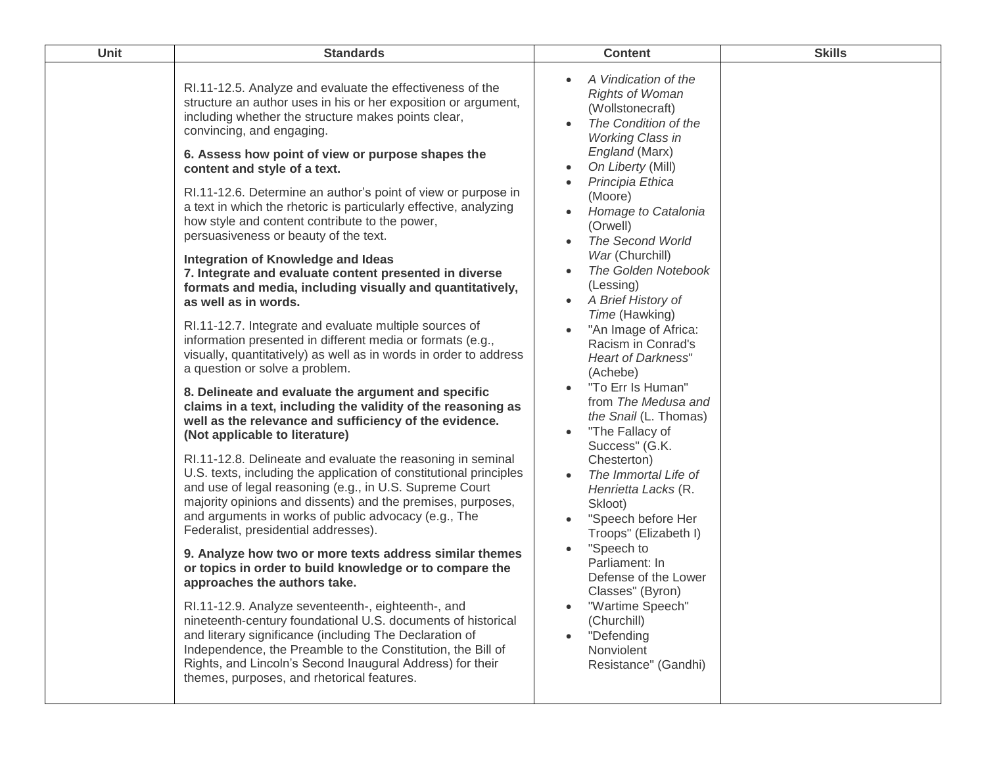| Unit | <b>Standards</b>                                                                                                                                                                                                                                                                                                                                                                                                                                                                                                                                                                                                                                                                                                                                                                                                                                                                                                                                                                                                                                                                                                                                                                                                                                                                                                                                                                                                                                                                                                                                                                                                                                                                                                                                                                                                                                                                                                                                                                                                                                             | <b>Content</b>                                                                                                                                                                                                                                                                                                                                                                                                                                                                                                                                                                                                                                                                                                                                                                                                                                                                | <b>Skills</b> |
|------|--------------------------------------------------------------------------------------------------------------------------------------------------------------------------------------------------------------------------------------------------------------------------------------------------------------------------------------------------------------------------------------------------------------------------------------------------------------------------------------------------------------------------------------------------------------------------------------------------------------------------------------------------------------------------------------------------------------------------------------------------------------------------------------------------------------------------------------------------------------------------------------------------------------------------------------------------------------------------------------------------------------------------------------------------------------------------------------------------------------------------------------------------------------------------------------------------------------------------------------------------------------------------------------------------------------------------------------------------------------------------------------------------------------------------------------------------------------------------------------------------------------------------------------------------------------------------------------------------------------------------------------------------------------------------------------------------------------------------------------------------------------------------------------------------------------------------------------------------------------------------------------------------------------------------------------------------------------------------------------------------------------------------------------------------------------|-------------------------------------------------------------------------------------------------------------------------------------------------------------------------------------------------------------------------------------------------------------------------------------------------------------------------------------------------------------------------------------------------------------------------------------------------------------------------------------------------------------------------------------------------------------------------------------------------------------------------------------------------------------------------------------------------------------------------------------------------------------------------------------------------------------------------------------------------------------------------------|---------------|
|      | RI.11-12.5. Analyze and evaluate the effectiveness of the<br>structure an author uses in his or her exposition or argument,<br>including whether the structure makes points clear,<br>convincing, and engaging.<br>6. Assess how point of view or purpose shapes the<br>content and style of a text.<br>RI.11-12.6. Determine an author's point of view or purpose in<br>a text in which the rhetoric is particularly effective, analyzing<br>how style and content contribute to the power,<br>persuasiveness or beauty of the text.<br>Integration of Knowledge and Ideas<br>7. Integrate and evaluate content presented in diverse<br>formats and media, including visually and quantitatively,<br>as well as in words.<br>RI.11-12.7. Integrate and evaluate multiple sources of<br>information presented in different media or formats (e.g.,<br>visually, quantitatively) as well as in words in order to address<br>a question or solve a problem.<br>8. Delineate and evaluate the argument and specific<br>claims in a text, including the validity of the reasoning as<br>well as the relevance and sufficiency of the evidence.<br>(Not applicable to literature)<br>RI.11-12.8. Delineate and evaluate the reasoning in seminal<br>U.S. texts, including the application of constitutional principles<br>and use of legal reasoning (e.g., in U.S. Supreme Court<br>majority opinions and dissents) and the premises, purposes,<br>and arguments in works of public advocacy (e.g., The<br>Federalist, presidential addresses).<br>9. Analyze how two or more texts address similar themes<br>or topics in order to build knowledge or to compare the<br>approaches the authors take.<br>RI.11-12.9. Analyze seventeenth-, eighteenth-, and<br>nineteenth-century foundational U.S. documents of historical<br>and literary significance (including The Declaration of<br>Independence, the Preamble to the Constitution, the Bill of<br>Rights, and Lincoln's Second Inaugural Address) for their<br>themes, purposes, and rhetorical features. | A Vindication of the<br><b>Rights of Woman</b><br>(Wollstonecraft)<br>The Condition of the<br><b>Working Class in</b><br>England (Marx)<br>On Liberty (Mill)<br>Principia Ethica<br>(Moore)<br>Homage to Catalonia<br>(Orwell)<br>The Second World<br>War (Churchill)<br>The Golden Notebook<br>(Lessing)<br>A Brief History of<br>$\bullet$<br>Time (Hawking)<br>"An Image of Africa:<br>Racism in Conrad's<br>Heart of Darkness"<br>(Achebe)<br>"To Err Is Human"<br>from The Medusa and<br>the Snail (L. Thomas)<br>"The Fallacy of<br>$\bullet$<br>Success" (G.K.<br>Chesterton)<br>The Immortal Life of<br>Henrietta Lacks (R.<br>Skloot)<br>"Speech before Her<br>Troops" (Elizabeth I)<br>"Speech to<br>Parliament: In<br>Defense of the Lower<br>Classes" (Byron)<br>"Wartime Speech"<br>$\bullet$<br>(Churchill)<br>"Defending<br>Nonviolent<br>Resistance" (Gandhi) |               |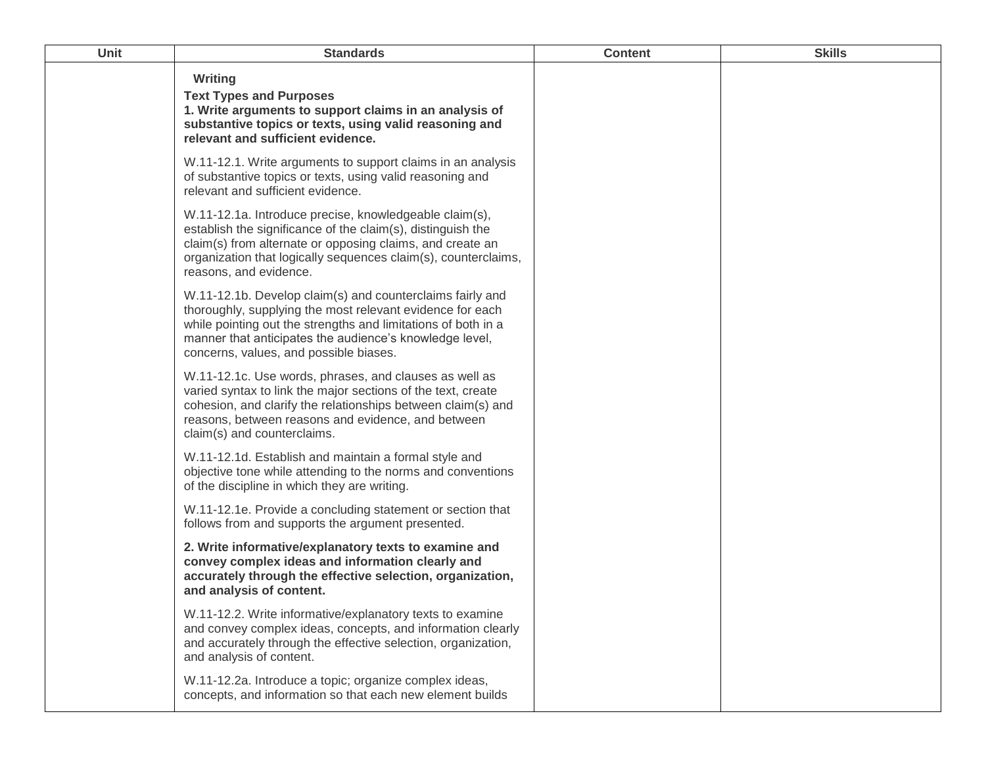| <b>Unit</b> | <b>Standards</b>                                                                                                                                                                                                                                                                             | <b>Content</b> | <b>Skills</b> |
|-------------|----------------------------------------------------------------------------------------------------------------------------------------------------------------------------------------------------------------------------------------------------------------------------------------------|----------------|---------------|
|             | Writing<br><b>Text Types and Purposes</b><br>1. Write arguments to support claims in an analysis of<br>substantive topics or texts, using valid reasoning and<br>relevant and sufficient evidence.                                                                                           |                |               |
|             | W.11-12.1. Write arguments to support claims in an analysis<br>of substantive topics or texts, using valid reasoning and<br>relevant and sufficient evidence.                                                                                                                                |                |               |
|             | W.11-12.1a. Introduce precise, knowledgeable claim(s),<br>establish the significance of the claim(s), distinguish the<br>claim(s) from alternate or opposing claims, and create an<br>organization that logically sequences claim(s), counterclaims,<br>reasons, and evidence.               |                |               |
|             | W.11-12.1b. Develop claim(s) and counterclaims fairly and<br>thoroughly, supplying the most relevant evidence for each<br>while pointing out the strengths and limitations of both in a<br>manner that anticipates the audience's knowledge level,<br>concerns, values, and possible biases. |                |               |
|             | W.11-12.1c. Use words, phrases, and clauses as well as<br>varied syntax to link the major sections of the text, create<br>cohesion, and clarify the relationships between claim(s) and<br>reasons, between reasons and evidence, and between<br>claim(s) and counterclaims.                  |                |               |
|             | W.11-12.1d. Establish and maintain a formal style and<br>objective tone while attending to the norms and conventions<br>of the discipline in which they are writing.                                                                                                                         |                |               |
|             | W.11-12.1e. Provide a concluding statement or section that<br>follows from and supports the argument presented.                                                                                                                                                                              |                |               |
|             | 2. Write informative/explanatory texts to examine and<br>convey complex ideas and information clearly and<br>accurately through the effective selection, organization,<br>and analysis of content.                                                                                           |                |               |
|             | W.11-12.2. Write informative/explanatory texts to examine<br>and convey complex ideas, concepts, and information clearly<br>and accurately through the effective selection, organization,<br>and analysis of content.                                                                        |                |               |
|             | W.11-12.2a. Introduce a topic; organize complex ideas,<br>concepts, and information so that each new element builds                                                                                                                                                                          |                |               |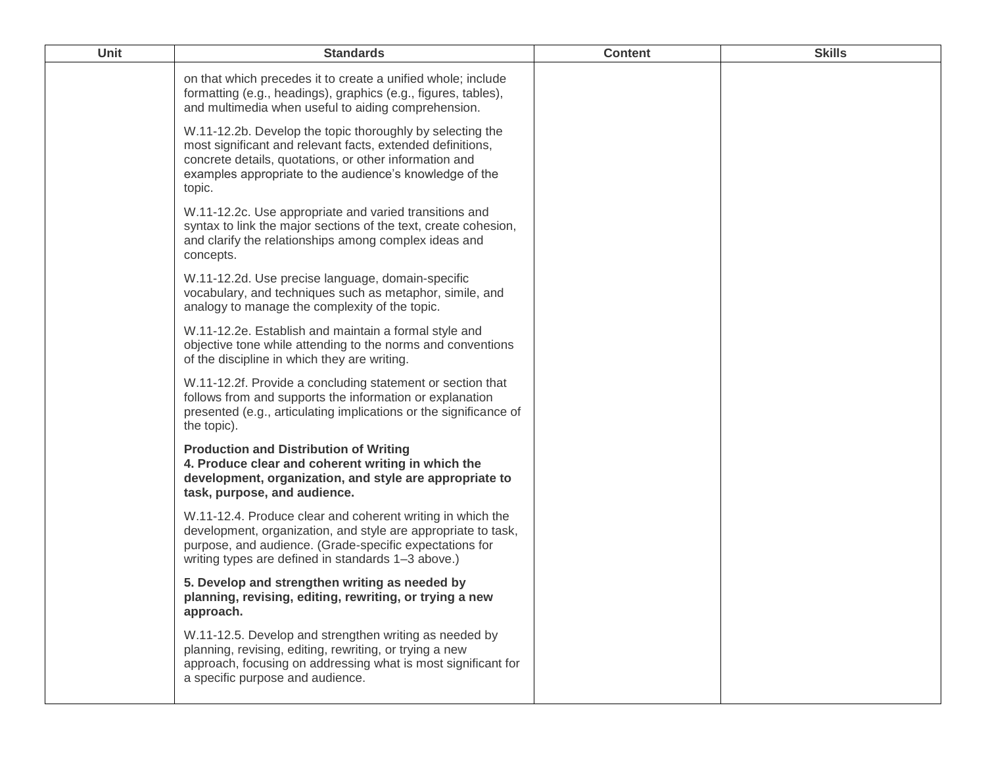| Unit | <b>Standards</b>                                                                                                                                                                                                                                       | <b>Content</b> | <b>Skills</b> |
|------|--------------------------------------------------------------------------------------------------------------------------------------------------------------------------------------------------------------------------------------------------------|----------------|---------------|
|      | on that which precedes it to create a unified whole; include<br>formatting (e.g., headings), graphics (e.g., figures, tables),<br>and multimedia when useful to aiding comprehension.                                                                  |                |               |
|      | W.11-12.2b. Develop the topic thoroughly by selecting the<br>most significant and relevant facts, extended definitions,<br>concrete details, quotations, or other information and<br>examples appropriate to the audience's knowledge of the<br>topic. |                |               |
|      | W.11-12.2c. Use appropriate and varied transitions and<br>syntax to link the major sections of the text, create cohesion,<br>and clarify the relationships among complex ideas and<br>concepts.                                                        |                |               |
|      | W.11-12.2d. Use precise language, domain-specific<br>vocabulary, and techniques such as metaphor, simile, and<br>analogy to manage the complexity of the topic.                                                                                        |                |               |
|      | W.11-12.2e. Establish and maintain a formal style and<br>objective tone while attending to the norms and conventions<br>of the discipline in which they are writing.                                                                                   |                |               |
|      | W.11-12.2f. Provide a concluding statement or section that<br>follows from and supports the information or explanation<br>presented (e.g., articulating implications or the significance of<br>the topic).                                             |                |               |
|      | <b>Production and Distribution of Writing</b><br>4. Produce clear and coherent writing in which the<br>development, organization, and style are appropriate to<br>task, purpose, and audience.                                                         |                |               |
|      | W.11-12.4. Produce clear and coherent writing in which the<br>development, organization, and style are appropriate to task,<br>purpose, and audience. (Grade-specific expectations for<br>writing types are defined in standards 1-3 above.)           |                |               |
|      | 5. Develop and strengthen writing as needed by<br>planning, revising, editing, rewriting, or trying a new<br>approach.                                                                                                                                 |                |               |
|      | W.11-12.5. Develop and strengthen writing as needed by<br>planning, revising, editing, rewriting, or trying a new<br>approach, focusing on addressing what is most significant for<br>a specific purpose and audience.                                 |                |               |
|      |                                                                                                                                                                                                                                                        |                |               |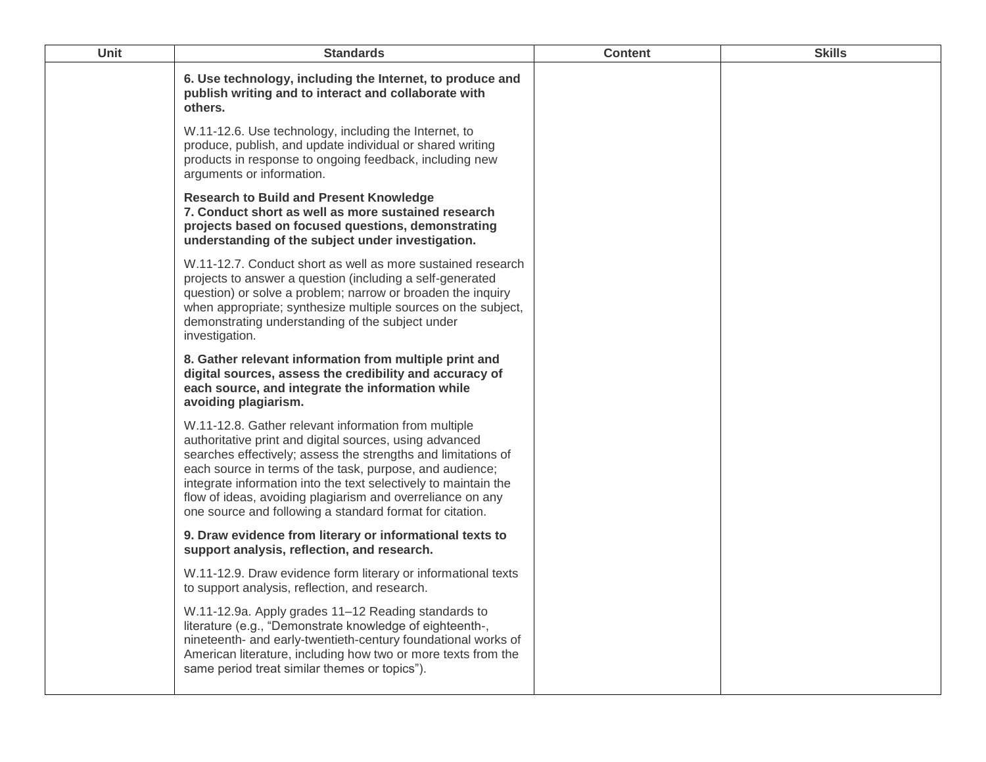| Unit | <b>Standards</b>                                                                                                                                                                                                                                                                                                                                                                                                                          | <b>Content</b> | <b>Skills</b> |
|------|-------------------------------------------------------------------------------------------------------------------------------------------------------------------------------------------------------------------------------------------------------------------------------------------------------------------------------------------------------------------------------------------------------------------------------------------|----------------|---------------|
|      | 6. Use technology, including the Internet, to produce and<br>publish writing and to interact and collaborate with<br>others.                                                                                                                                                                                                                                                                                                              |                |               |
|      | W.11-12.6. Use technology, including the Internet, to<br>produce, publish, and update individual or shared writing<br>products in response to ongoing feedback, including new<br>arguments or information.                                                                                                                                                                                                                                |                |               |
|      | <b>Research to Build and Present Knowledge</b><br>7. Conduct short as well as more sustained research<br>projects based on focused questions, demonstrating<br>understanding of the subject under investigation.                                                                                                                                                                                                                          |                |               |
|      | W.11-12.7. Conduct short as well as more sustained research<br>projects to answer a question (including a self-generated<br>question) or solve a problem; narrow or broaden the inquiry<br>when appropriate; synthesize multiple sources on the subject,<br>demonstrating understanding of the subject under<br>investigation.                                                                                                            |                |               |
|      | 8. Gather relevant information from multiple print and<br>digital sources, assess the credibility and accuracy of<br>each source, and integrate the information while<br>avoiding plagiarism.                                                                                                                                                                                                                                             |                |               |
|      | W.11-12.8. Gather relevant information from multiple<br>authoritative print and digital sources, using advanced<br>searches effectively; assess the strengths and limitations of<br>each source in terms of the task, purpose, and audience;<br>integrate information into the text selectively to maintain the<br>flow of ideas, avoiding plagiarism and overreliance on any<br>one source and following a standard format for citation. |                |               |
|      | 9. Draw evidence from literary or informational texts to<br>support analysis, reflection, and research.                                                                                                                                                                                                                                                                                                                                   |                |               |
|      | W.11-12.9. Draw evidence form literary or informational texts<br>to support analysis, reflection, and research.                                                                                                                                                                                                                                                                                                                           |                |               |
|      | W.11-12.9a. Apply grades 11-12 Reading standards to<br>literature (e.g., "Demonstrate knowledge of eighteenth-,<br>nineteenth- and early-twentieth-century foundational works of<br>American literature, including how two or more texts from the<br>same period treat similar themes or topics").                                                                                                                                        |                |               |